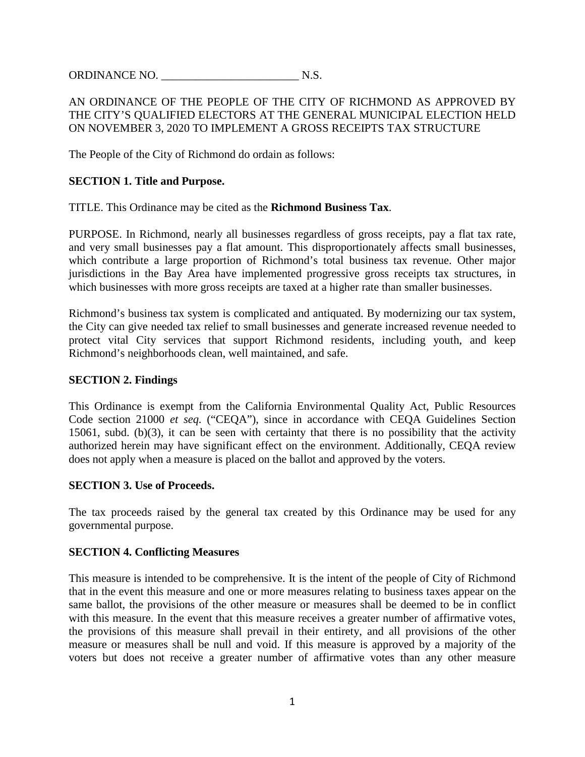ORDINANCE NO. 2008. IN S.

# AN ORDINANCE OF THE PEOPLE OF THE CITY OF RICHMOND AS APPROVED BY THE CITY'S QUALIFIED ELECTORS AT THE GENERAL MUNICIPAL ELECTION HELD ON NOVEMBER 3, 2020 TO IMPLEMENT A GROSS RECEIPTS TAX STRUCTURE

The People of the City of Richmond do ordain as follows:

### **SECTION 1. Title and Purpose.**

TITLE. This Ordinance may be cited as the **Richmond Business Tax**.

PURPOSE. In Richmond, nearly all businesses regardless of gross receipts, pay a flat tax rate, and very small businesses pay a flat amount. This disproportionately affects small businesses, which contribute a large proportion of Richmond's total business tax revenue. Other major jurisdictions in the Bay Area have implemented progressive gross receipts tax structures, in which businesses with more gross receipts are taxed at a higher rate than smaller businesses.

Richmond's business tax system is complicated and antiquated. By modernizing our tax system, the City can give needed tax relief to small businesses and generate increased revenue needed to protect vital City services that support Richmond residents, including youth, and keep Richmond's neighborhoods clean, well maintained, and safe.

#### **SECTION 2. Findings**

This Ordinance is exempt from the California Environmental Quality Act, Public Resources Code section 21000 *et seq.* ("CEQA"), since in accordance with CEQA Guidelines Section 15061, subd. (b)(3), it can be seen with certainty that there is no possibility that the activity authorized herein may have significant effect on the environment. Additionally, CEQA review does not apply when a measure is placed on the ballot and approved by the voters.

### **SECTION 3. Use of Proceeds.**

The tax proceeds raised by the general tax created by this Ordinance may be used for any governmental purpose.

### **SECTION 4. Conflicting Measures**

This measure is intended to be comprehensive. It is the intent of the people of City of Richmond that in the event this measure and one or more measures relating to business taxes appear on the same ballot, the provisions of the other measure or measures shall be deemed to be in conflict with this measure. In the event that this measure receives a greater number of affirmative votes, the provisions of this measure shall prevail in their entirety, and all provisions of the other measure or measures shall be null and void. If this measure is approved by a majority of the voters but does not receive a greater number of affirmative votes than any other measure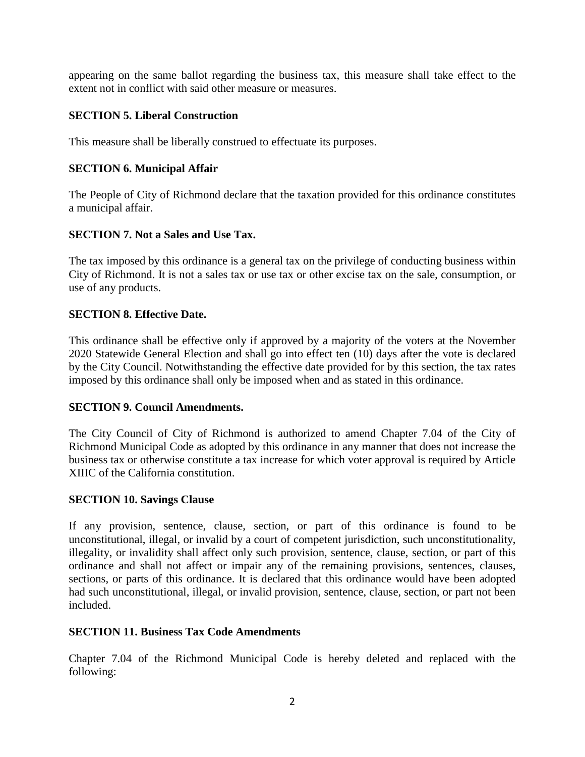appearing on the same ballot regarding the business tax, this measure shall take effect to the extent not in conflict with said other measure or measures.

# **SECTION 5. Liberal Construction**

This measure shall be liberally construed to effectuate its purposes.

# **SECTION 6. Municipal Affair**

The People of City of Richmond declare that the taxation provided for this ordinance constitutes a municipal affair.

# **SECTION 7. Not a Sales and Use Tax.**

The tax imposed by this ordinance is a general tax on the privilege of conducting business within City of Richmond. It is not a sales tax or use tax or other excise tax on the sale, consumption, or use of any products.

# **SECTION 8. Effective Date.**

This ordinance shall be effective only if approved by a majority of the voters at the November 2020 Statewide General Election and shall go into effect ten (10) days after the vote is declared by the City Council. Notwithstanding the effective date provided for by this section, the tax rates imposed by this ordinance shall only be imposed when and as stated in this ordinance.

# **SECTION 9. Council Amendments.**

The City Council of City of Richmond is authorized to amend Chapter 7.04 of the City of Richmond Municipal Code as adopted by this ordinance in any manner that does not increase the business tax or otherwise constitute a tax increase for which voter approval is required by Article XIIIC of the California constitution.

# **SECTION 10. Savings Clause**

If any provision, sentence, clause, section, or part of this ordinance is found to be unconstitutional, illegal, or invalid by a court of competent jurisdiction, such unconstitutionality, illegality, or invalidity shall affect only such provision, sentence, clause, section, or part of this ordinance and shall not affect or impair any of the remaining provisions, sentences, clauses, sections, or parts of this ordinance. It is declared that this ordinance would have been adopted had such unconstitutional, illegal, or invalid provision, sentence, clause, section, or part not been included.

### **SECTION 11. Business Tax Code Amendments**

Chapter 7.04 of the Richmond Municipal Code is hereby deleted and replaced with the following: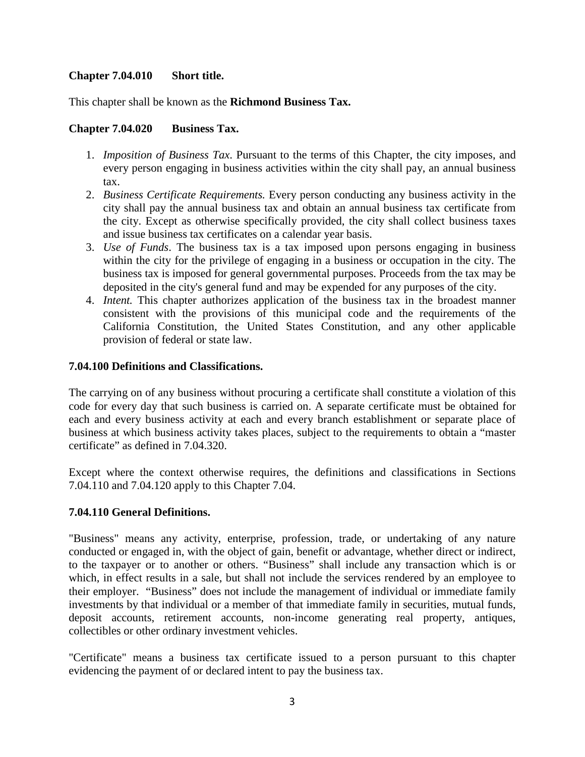# **Chapter 7.04.010 Short title.**

This chapter shall be known as the **Richmond Business Tax.**

### **Chapter 7.04.020 Business Tax.**

- 1. *Imposition of Business Tax*. Pursuant to the terms of this Chapter, the city imposes, and every person engaging in business activities within the city shall pay, an annual business tax.
- 2. *Business Certificate Requirements.* Every person conducting any business activity in the city shall pay the annual business tax and obtain an annual business tax certificate from the city. Except as otherwise specifically provided, the city shall collect business taxes and issue business tax certificates on a calendar year basis.
- 3. *Use of Funds*. The business tax is a tax imposed upon persons engaging in business within the city for the privilege of engaging in a business or occupation in the city. The business tax is imposed for general governmental purposes. Proceeds from the tax may be deposited in the city's general fund and may be expended for any purposes of the city.
- 4. *Intent.* This chapter authorizes application of the business tax in the broadest manner consistent with the provisions of this municipal code and the requirements of the California Constitution, the United States Constitution, and any other applicable provision of federal or state law.

### **7.04.100 Definitions and Classifications.**

The carrying on of any business without procuring a certificate shall constitute a violation of this code for every day that such business is carried on. A separate certificate must be obtained for each and every business activity at each and every branch establishment or separate place of business at which business activity takes places, subject to the requirements to obtain a "master certificate" as defined in 7.04.320.

Except where the context otherwise requires, the definitions and classifications in Sections 7.04.110 and 7.04.120 apply to this Chapter 7.04.

### **7.04.110 General Definitions.**

"Business" means any activity, enterprise, profession, trade, or undertaking of any nature conducted or engaged in, with the object of gain, benefit or advantage, whether direct or indirect, to the taxpayer or to another or others. "Business" shall include any transaction which is or which, in effect results in a sale, but shall not include the services rendered by an employee to their employer. "Business" does not include the management of individual or immediate family investments by that individual or a member of that immediate family in securities, mutual funds, deposit accounts, retirement accounts, non-income generating real property, antiques, collectibles or other ordinary investment vehicles.

"Certificate" means a business tax certificate issued to a person pursuant to this chapter evidencing the payment of or declared intent to pay the business tax.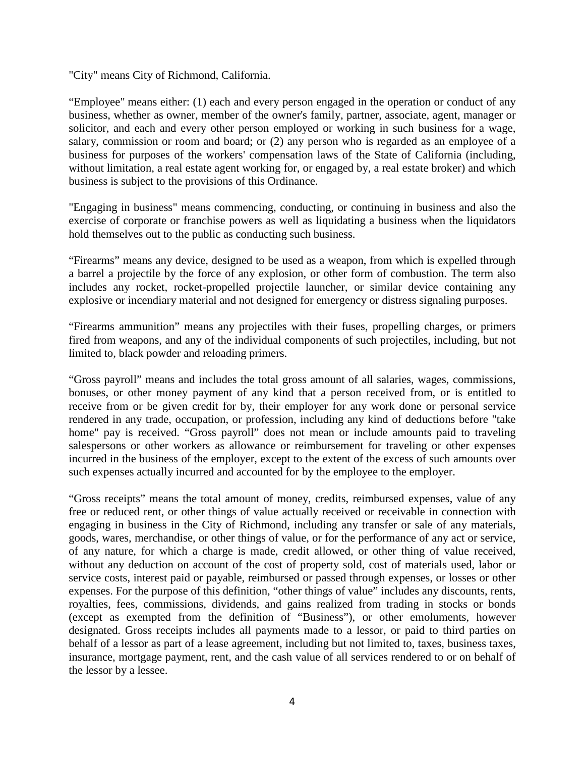"City" means City of Richmond, California.

"Employee" means either: (1) each and every person engaged in the operation or conduct of any business, whether as owner, member of the owner's family, partner, associate, agent, manager or solicitor, and each and every other person employed or working in such business for a wage, salary, commission or room and board; or (2) any person who is regarded as an employee of a business for purposes of the workers' compensation laws of the State of California (including, without limitation, a real estate agent working for, or engaged by, a real estate broker) and which business is subject to the provisions of this Ordinance.

"Engaging in business" means commencing, conducting, or continuing in business and also the exercise of corporate or franchise powers as well as liquidating a business when the liquidators hold themselves out to the public as conducting such business.

"Firearms" means any device, designed to be used as a weapon, from which is expelled through a barrel a projectile by the force of any explosion, or other form of combustion. The term also includes any rocket, rocket-propelled projectile launcher, or similar device containing any explosive or incendiary material and not designed for emergency or distress signaling purposes.

"Firearms ammunition" means any projectiles with their fuses, propelling charges, or primers fired from weapons, and any of the individual components of such projectiles, including, but not limited to, black powder and reloading primers.

"Gross payroll" means and includes the total gross amount of all salaries, wages, commissions, bonuses, or other money payment of any kind that a person received from, or is entitled to receive from or be given credit for by, their employer for any work done or personal service rendered in any trade, occupation, or profession, including any kind of deductions before "take home" pay is received. "Gross payroll" does not mean or include amounts paid to traveling salespersons or other workers as allowance or reimbursement for traveling or other expenses incurred in the business of the employer, except to the extent of the excess of such amounts over such expenses actually incurred and accounted for by the employee to the employer.

"Gross receipts" means the total amount of money, credits, reimbursed expenses, value of any free or reduced rent, or other things of value actually received or receivable in connection with engaging in business in the City of Richmond, including any transfer or sale of any materials, goods, wares, merchandise, or other things of value, or for the performance of any act or service, of any nature, for which a charge is made, credit allowed, or other thing of value received, without any deduction on account of the cost of property sold, cost of materials used, labor or service costs, interest paid or payable, reimbursed or passed through expenses, or losses or other expenses. For the purpose of this definition, "other things of value" includes any discounts, rents, royalties, fees, commissions, dividends, and gains realized from trading in stocks or bonds (except as exempted from the definition of "Business"), or other emoluments, however designated. Gross receipts includes all payments made to a lessor, or paid to third parties on behalf of a lessor as part of a lease agreement, including but not limited to, taxes, business taxes, insurance, mortgage payment, rent, and the cash value of all services rendered to or on behalf of the lessor by a lessee.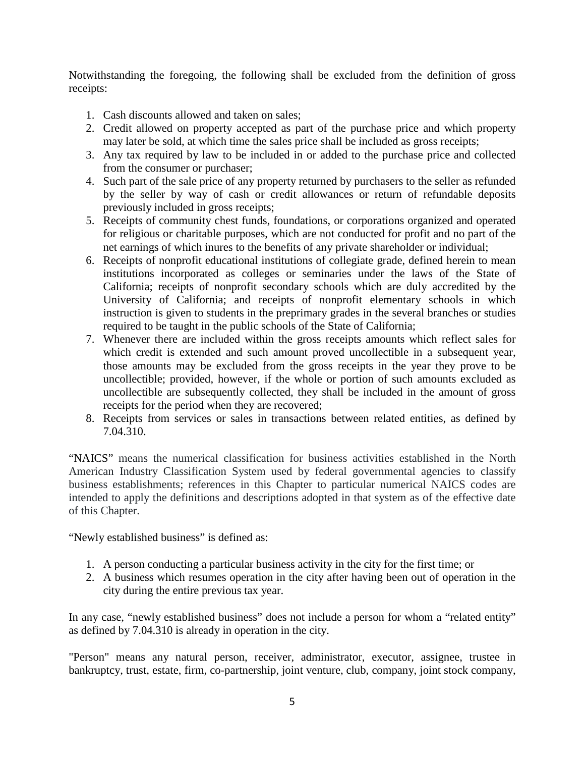Notwithstanding the foregoing, the following shall be excluded from the definition of gross receipts:

- 1. Cash discounts allowed and taken on sales;
- 2. Credit allowed on property accepted as part of the purchase price and which property may later be sold, at which time the sales price shall be included as gross receipts;
- 3. Any tax required by law to be included in or added to the purchase price and collected from the consumer or purchaser;
- 4. Such part of the sale price of any property returned by purchasers to the seller as refunded by the seller by way of cash or credit allowances or return of refundable deposits previously included in gross receipts;
- 5. Receipts of community chest funds, foundations, or corporations organized and operated for religious or charitable purposes, which are not conducted for profit and no part of the net earnings of which inures to the benefits of any private shareholder or individual;
- 6. Receipts of nonprofit educational institutions of collegiate grade, defined herein to mean institutions incorporated as colleges or seminaries under the laws of the State of California; receipts of nonprofit secondary schools which are duly accredited by the University of California; and receipts of nonprofit elementary schools in which instruction is given to students in the preprimary grades in the several branches or studies required to be taught in the public schools of the State of California;
- 7. Whenever there are included within the gross receipts amounts which reflect sales for which credit is extended and such amount proved uncollectible in a subsequent year, those amounts may be excluded from the gross receipts in the year they prove to be uncollectible; provided, however, if the whole or portion of such amounts excluded as uncollectible are subsequently collected, they shall be included in the amount of gross receipts for the period when they are recovered;
- 8. Receipts from services or sales in transactions between related entities, as defined by 7.04.310.

"NAICS" means the numerical classification for business activities established in the North American Industry Classification System used by federal governmental agencies to classify business establishments; references in this Chapter to particular numerical NAICS codes are intended to apply the definitions and descriptions adopted in that system as of the effective date of this Chapter.

"Newly established business" is defined as:

- 1. A person conducting a particular business activity in the city for the first time; or
- 2. A business which resumes operation in the city after having been out of operation in the city during the entire previous tax year.

In any case, "newly established business" does not include a person for whom a "related entity" as defined by 7.04.310 is already in operation in the city.

"Person" means any natural person, receiver, administrator, executor, assignee, trustee in bankruptcy, trust, estate, firm, co-partnership, joint venture, club, company, joint stock company,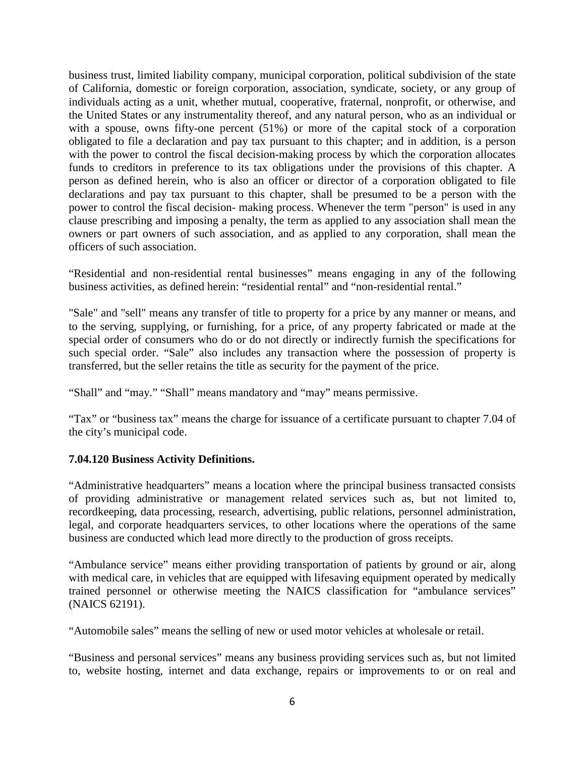business trust, limited liability company, municipal corporation, political subdivision of the state of California, domestic or foreign corporation, association, syndicate, society, or any group of individuals acting as a unit, whether mutual, cooperative, fraternal, nonprofit, or otherwise, and the United States or any instrumentality thereof, and any natural person, who as an individual or with a spouse, owns fifty-one percent (51%) or more of the capital stock of a corporation obligated to file a declaration and pay tax pursuant to this chapter; and in addition, is a person with the power to control the fiscal decision-making process by which the corporation allocates funds to creditors in preference to its tax obligations under the provisions of this chapter. A person as defined herein, who is also an officer or director of a corporation obligated to file declarations and pay tax pursuant to this chapter, shall be presumed to be a person with the power to control the fiscal decision- making process. Whenever the term "person" is used in any clause prescribing and imposing a penalty, the term as applied to any association shall mean the owners or part owners of such association, and as applied to any corporation, shall mean the officers of such association.

"Residential and non-residential rental businesses" means engaging in any of the following business activities, as defined herein: "residential rental" and "non-residential rental."

"Sale" and "sell" means any transfer of title to property for a price by any manner or means, and to the serving, supplying, or furnishing, for a price, of any property fabricated or made at the special order of consumers who do or do not directly or indirectly furnish the specifications for such special order. "Sale" also includes any transaction where the possession of property is transferred, but the seller retains the title as security for the payment of the price.

"Shall" and "may." "Shall" means mandatory and "may" means permissive.

"Tax" or "business tax" means the charge for issuance of a certificate pursuant to chapter 7.04 of the city's municipal code.

# **7.04.120 Business Activity Definitions.**

"Administrative headquarters" means a location where the principal business transacted consists of providing administrative or management related services such as, but not limited to, recordkeeping, data processing, research, advertising, public relations, personnel administration, legal, and corporate headquarters services, to other locations where the operations of the same business are conducted which lead more directly to the production of gross receipts.

"Ambulance service" means either providing transportation of patients by ground or air, along with medical care, in vehicles that are equipped with lifesaving equipment operated by medically trained personnel or otherwise meeting the NAICS classification for "ambulance services" (NAICS 62191).

"Automobile sales" means the selling of new or used motor vehicles at wholesale or retail.

"Business and personal services" means any business providing services such as, but not limited to, website hosting, internet and data exchange, repairs or improvements to or on real and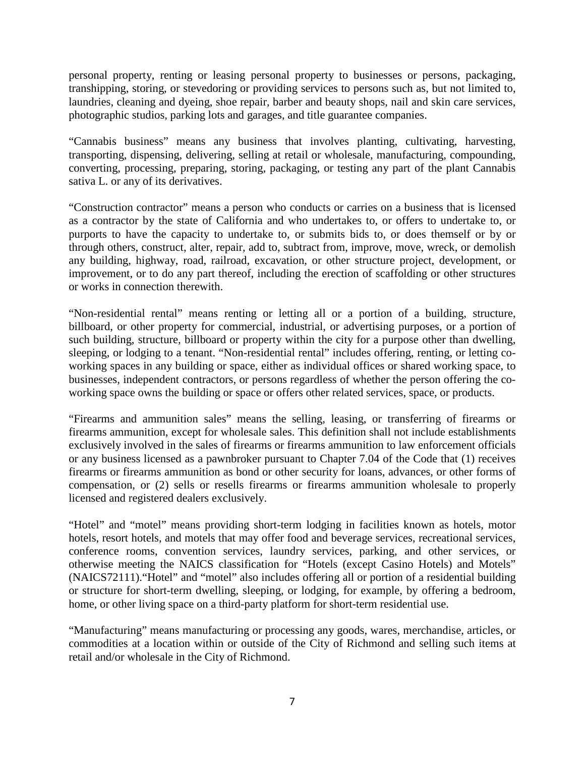personal property, renting or leasing personal property to businesses or persons, packaging, transhipping, storing, or stevedoring or providing services to persons such as, but not limited to, laundries, cleaning and dyeing, shoe repair, barber and beauty shops, nail and skin care services, photographic studios, parking lots and garages, and title guarantee companies.

"Cannabis business" means any business that involves planting, cultivating, harvesting, transporting, dispensing, delivering, selling at retail or wholesale, manufacturing, compounding, converting, processing, preparing, storing, packaging, or testing any part of the plant Cannabis sativa L. or any of its derivatives.

"Construction contractor" means a person who conducts or carries on a business that is licensed as a contractor by the state of California and who undertakes to, or offers to undertake to, or purports to have the capacity to undertake to, or submits bids to, or does themself or by or through others, construct, alter, repair, add to, subtract from, improve, move, wreck, or demolish any building, highway, road, railroad, excavation, or other structure project, development, or improvement, or to do any part thereof, including the erection of scaffolding or other structures or works in connection therewith.

"Non-residential rental" means renting or letting all or a portion of a building, structure, billboard, or other property for commercial, industrial, or advertising purposes, or a portion of such building, structure, billboard or property within the city for a purpose other than dwelling, sleeping, or lodging to a tenant. "Non-residential rental" includes offering, renting, or letting coworking spaces in any building or space, either as individual offices or shared working space, to businesses, independent contractors, or persons regardless of whether the person offering the coworking space owns the building or space or offers other related services, space, or products.

"Firearms and ammunition sales" means the selling, leasing, or transferring of firearms or firearms ammunition, except for wholesale sales. This definition shall not include establishments exclusively involved in the sales of firearms or firearms ammunition to law enforcement officials or any business licensed as a pawnbroker pursuant to Chapter 7.04 of the Code that (1) receives firearms or firearms ammunition as bond or other security for loans, advances, or other forms of compensation, or (2) sells or resells firearms or firearms ammunition wholesale to properly licensed and registered dealers exclusively.

"Hotel" and "motel" means providing short-term lodging in facilities known as hotels, motor hotels, resort hotels, and motels that may offer food and beverage services, recreational services, conference rooms, convention services, laundry services, parking, and other services, or otherwise meeting the NAICS classification for "Hotels (except Casino Hotels) and Motels" (NAICS72111)."Hotel" and "motel" also includes offering all or portion of a residential building or structure for short-term dwelling, sleeping, or lodging, for example, by offering a bedroom, home, or other living space on a third-party platform for short-term residential use.

"Manufacturing" means manufacturing or processing any goods, wares, merchandise, articles, or commodities at a location within or outside of the City of Richmond and selling such items at retail and/or wholesale in the City of Richmond.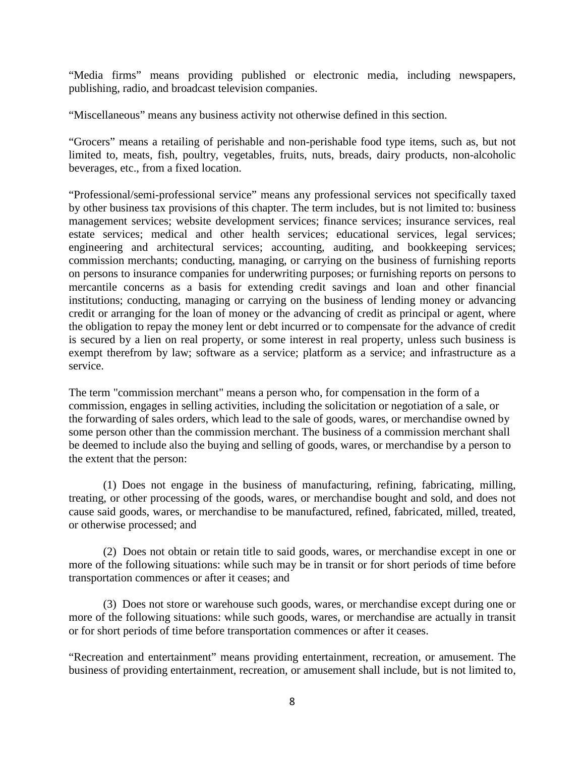"Media firms" means providing published or electronic media, including newspapers, publishing, radio, and broadcast television companies.

"Miscellaneous" means any business activity not otherwise defined in this section.

"Grocers" means a retailing of perishable and non-perishable food type items, such as, but not limited to, meats, fish, poultry, vegetables, fruits, nuts, breads, dairy products, non-alcoholic beverages, etc., from a fixed location.

"Professional/semi-professional service" means any professional services not specifically taxed by other business tax provisions of this chapter. The term includes, but is not limited to: business management services; website development services; finance services; insurance services, real estate services; medical and other health services; educational services, legal services; engineering and architectural services; accounting, auditing, and bookkeeping services; commission merchants; conducting, managing, or carrying on the business of furnishing reports on persons to insurance companies for underwriting purposes; or furnishing reports on persons to mercantile concerns as a basis for extending credit savings and loan and other financial institutions; conducting, managing or carrying on the business of lending money or advancing credit or arranging for the loan of money or the advancing of credit as principal or agent, where the obligation to repay the money lent or debt incurred or to compensate for the advance of credit is secured by a lien on real property, or some interest in real property, unless such business is exempt therefrom by law; software as a service; platform as a service; and infrastructure as a service.

The term "commission merchant" means a person who, for compensation in the form of a commission, engages in selling activities, including the solicitation or negotiation of a sale, or the forwarding of sales orders, which lead to the sale of goods, wares, or merchandise owned by some person other than the commission merchant. The business of a commission merchant shall be deemed to include also the buying and selling of goods, wares, or merchandise by a person to the extent that the person:

(1) Does not engage in the business of manufacturing, refining, fabricating, milling, treating, or other processing of the goods, wares, or merchandise bought and sold, and does not cause said goods, wares, or merchandise to be manufactured, refined, fabricated, milled, treated, or otherwise processed; and

(2) Does not obtain or retain title to said goods, wares, or merchandise except in one or more of the following situations: while such may be in transit or for short periods of time before transportation commences or after it ceases; and

(3) Does not store or warehouse such goods, wares, or merchandise except during one or more of the following situations: while such goods, wares, or merchandise are actually in transit or for short periods of time before transportation commences or after it ceases.

"Recreation and entertainment" means providing entertainment, recreation, or amusement. The business of providing entertainment, recreation, or amusement shall include, but is not limited to,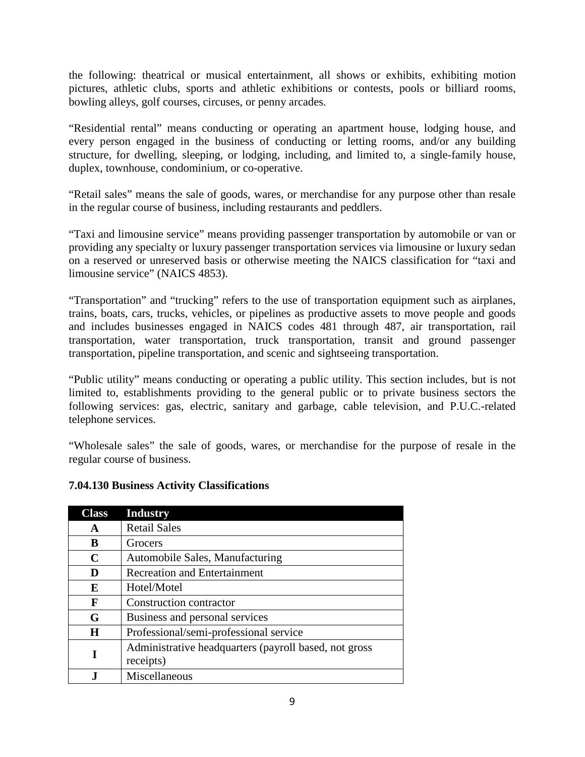the following: theatrical or musical entertainment, all shows or exhibits, exhibiting motion pictures, athletic clubs, sports and athletic exhibitions or contests, pools or billiard rooms, bowling alleys, golf courses, circuses, or penny arcades.

"Residential rental" means conducting or operating an apartment house, lodging house, and every person engaged in the business of conducting or letting rooms, and/or any building structure, for dwelling, sleeping, or lodging, including, and limited to, a single-family house, duplex, townhouse, condominium, or co-operative.

"Retail sales" means the sale of goods, wares, or merchandise for any purpose other than resale in the regular course of business, including restaurants and peddlers.

"Taxi and limousine service" means providing passenger transportation by automobile or van or providing any specialty or luxury passenger transportation services via limousine or luxury sedan on a reserved or unreserved basis or otherwise meeting the NAICS classification for "taxi and limousine service" (NAICS 4853).

"Transportation" and "trucking" refers to the use of transportation equipment such as airplanes, trains, boats, cars, trucks, vehicles, or pipelines as productive assets to move people and goods and includes businesses engaged in NAICS codes 481 through 487, air transportation, rail transportation, water transportation, truck transportation, transit and ground passenger transportation, pipeline transportation, and scenic and sightseeing transportation.

"Public utility" means conducting or operating a public utility. This section includes, but is not limited to, establishments providing to the general public or to private business sectors the following services: gas, electric, sanitary and garbage, cable television, and P.U.C.-related telephone services.

"Wholesale sales" the sale of goods, wares, or merchandise for the purpose of resale in the regular course of business.

| <b>Class</b> | <b>Industry</b>                                       |
|--------------|-------------------------------------------------------|
| A            | <b>Retail Sales</b>                                   |
| B            | Grocers                                               |
| C            | Automobile Sales, Manufacturing                       |
| D            | <b>Recreation and Entertainment</b>                   |
| E            | Hotel/Motel                                           |
| F            | Construction contractor                               |
| G            | Business and personal services                        |
| H            | Professional/semi-professional service                |
| I            | Administrative headquarters (payroll based, not gross |
|              | receipts)                                             |
|              | Miscellaneous                                         |

# **7.04.130 Business Activity Classifications**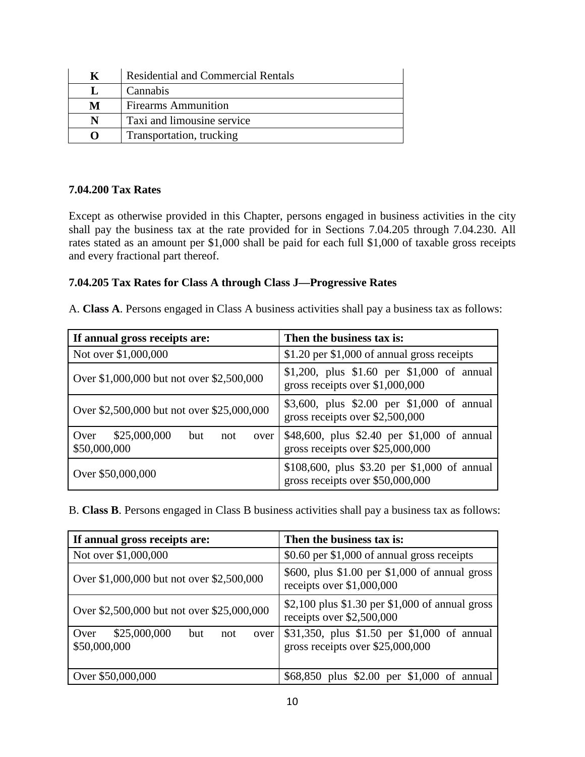| K | <b>Residential and Commercial Rentals</b> |
|---|-------------------------------------------|
|   | Cannabis                                  |
| M | <b>Firearms Ammunition</b>                |
| N | Taxi and limousine service                |
| 0 | Transportation, trucking                  |

### **7.04.200 Tax Rates**

Except as otherwise provided in this Chapter, persons engaged in business activities in the city shall pay the business tax at the rate provided for in Sections 7.04.205 through 7.04.230. All rates stated as an amount per \$1,000 shall be paid for each full \$1,000 of taxable gross receipts and every fractional part thereof.

### **7.04.205 Tax Rates for Class A through Class J—Progressive Rates**

A. **Class A**. Persons engaged in Class A business activities shall pay a business tax as follows:

| If annual gross receipts are:                              | Then the business tax is:                                                        |
|------------------------------------------------------------|----------------------------------------------------------------------------------|
| Not over \$1,000,000                                       | \$1.20 per \$1,000 of annual gross receipts                                      |
| Over \$1,000,000 but not over \$2,500,000                  | \$1,200, plus \$1.60 per \$1,000 of annual<br>gross receipts over \$1,000,000    |
| Over \$2,500,000 but not over \$25,000,000                 | \$3,600, plus \$2.00 per \$1,000 of annual<br>gross receipts over \$2,500,000    |
| Over<br>\$25,000,000<br>but<br>not<br>over<br>\$50,000,000 | \$48,600, plus \$2.40 per \$1,000 of annual<br>gross receipts over \$25,000,000  |
| Over \$50,000,000                                          | \$108,600, plus \$3.20 per \$1,000 of annual<br>gross receipts over \$50,000,000 |

B. **Class B**. Persons engaged in Class B business activities shall pay a business tax as follows:

| If annual gross receipts are:                              | Then the business tax is:                                                       |
|------------------------------------------------------------|---------------------------------------------------------------------------------|
| Not over \$1,000,000                                       | \$0.60 per \$1,000 of annual gross receipts                                     |
| Over \$1,000,000 but not over \$2,500,000                  | \$600, plus \$1.00 per \$1,000 of annual gross<br>receipts over \$1,000,000     |
| Over \$2,500,000 but not over \$25,000,000                 | \$2,100 plus \$1.30 per $$1,000$ of annual gross<br>receipts over \$2,500,000   |
| \$25,000,000<br>Over<br>but<br>not<br>over<br>\$50,000,000 | \$31,350, plus \$1.50 per \$1,000 of annual<br>gross receipts over \$25,000,000 |
| Over \$50,000,000                                          | \$68,850 plus \$2.00 per \$1,000 of annual                                      |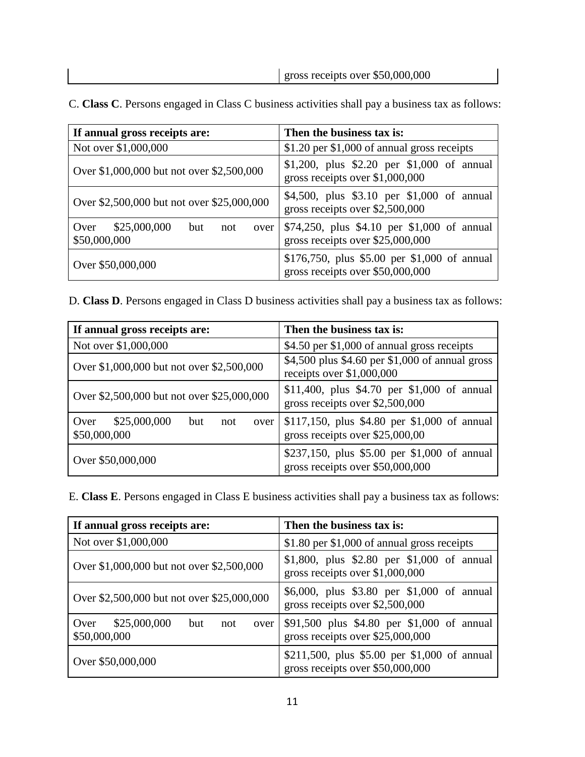| If annual gross receipts are:                              | Then the business tax is:                                                        |
|------------------------------------------------------------|----------------------------------------------------------------------------------|
| Not over \$1,000,000                                       | \$1.20 per \$1,000 of annual gross receipts                                      |
| Over \$1,000,000 but not over \$2,500,000                  | \$1,200, plus \$2.20 per \$1,000 of annual<br>gross receipts over \$1,000,000    |
| Over \$2,500,000 but not over \$25,000,000                 | \$4,500, plus \$3.10 per \$1,000 of annual<br>gross receipts over \$2,500,000    |
| Over<br>\$25,000,000<br>but<br>not<br>over<br>\$50,000,000 | \$74,250, plus \$4.10 per \$1,000 of annual<br>gross receipts over \$25,000,000  |
| Over \$50,000,000                                          | \$176,750, plus \$5.00 per \$1,000 of annual<br>gross receipts over \$50,000,000 |

C. **Class C**. Persons engaged in Class C business activities shall pay a business tax as follows:

D. **Class D**. Persons engaged in Class D business activities shall pay a business tax as follows:

| If annual gross receipts are:                              | Then the business tax is:                                                        |
|------------------------------------------------------------|----------------------------------------------------------------------------------|
| Not over \$1,000,000                                       | \$4.50 per \$1,000 of annual gross receipts                                      |
| Over \$1,000,000 but not over \$2,500,000                  | \$4,500 plus \$4.60 per \$1,000 of annual gross<br>receipts over \$1,000,000     |
| Over \$2,500,000 but not over \$25,000,000                 | \$11,400, plus \$4.70 per \$1,000 of annual<br>gross receipts over \$2,500,000   |
| \$25,000,000<br>Over<br>but<br>not<br>over<br>\$50,000,000 | \$117,150, plus \$4.80 per \$1,000 of annual<br>gross receipts over \$25,000,00  |
| Over \$50,000,000                                          | \$237,150, plus \$5.00 per \$1,000 of annual<br>gross receipts over \$50,000,000 |

E. **Class E**. Persons engaged in Class E business activities shall pay a business tax as follows:

| If annual gross receipts are:                              | Then the business tax is:                                                        |
|------------------------------------------------------------|----------------------------------------------------------------------------------|
| Not over \$1,000,000                                       | \$1.80 per \$1,000 of annual gross receipts                                      |
| Over \$1,000,000 but not over \$2,500,000                  | \$1,800, plus \$2.80 per \$1,000 of annual<br>gross receipts over \$1,000,000    |
| Over \$2,500,000 but not over \$25,000,000                 | \$6,000, plus \$3.80 per \$1,000 of annual<br>gross receipts over \$2,500,000    |
| Over<br>\$25,000,000<br>but<br>not<br>over<br>\$50,000,000 | \$91,500 plus \$4.80 per \$1,000 of annual<br>gross receipts over \$25,000,000   |
| Over \$50,000,000                                          | \$211,500, plus \$5.00 per \$1,000 of annual<br>gross receipts over \$50,000,000 |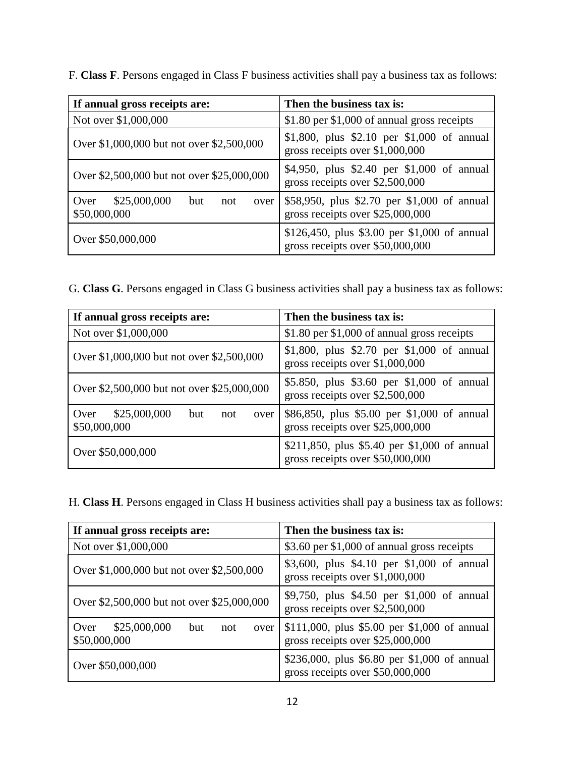**If annual gross receipts are: Then the business tax is:**  Not over  $$1,000,000$   $$1.80$  per  $$1,000$  of annual gross receipts Over \$1,000,000 but not over \$2,500,000 \$1,800, plus \$2.10 per \$1,000 of annual gross receipts over \$1,000,000 Over \$2,500,000 but not over \$25,000,000 \$4,950, plus \$2.40 per \$1,000 of annual gross receipts over \$2,500,000 Over \$25,000,000 but not over \$50,000,000 \$58,950, plus \$2.70 per \$1,000 of annual gross receipts over \$25,000,000 Over \$50,000,000 \$126,450, plus \$3.00 per \$1,000 of annual gross receipts over \$50,000,000

F. **Class F**. Persons engaged in Class F business activities shall pay a business tax as follows:

G. **Class G**. Persons engaged in Class G business activities shall pay a business tax as follows:

| If annual gross receipts are:                              | Then the business tax is:                                                        |
|------------------------------------------------------------|----------------------------------------------------------------------------------|
| Not over \$1,000,000                                       | \$1.80 per \$1,000 of annual gross receipts                                      |
| Over \$1,000,000 but not over \$2,500,000                  | \$1,800, plus \$2.70 per \$1,000 of annual<br>gross receipts over \$1,000,000    |
| Over \$2,500,000 but not over \$25,000,000                 | \$5.850, plus \$3.60 per \$1,000 of annual<br>gross receipts over \$2,500,000    |
| \$25,000,000<br>Over<br>but<br>not<br>over<br>\$50,000,000 | \$86,850, plus \$5.00 per \$1,000 of annual<br>gross receipts over \$25,000,000  |
| Over \$50,000,000                                          | \$211,850, plus \$5.40 per \$1,000 of annual<br>gross receipts over \$50,000,000 |

H. **Class H**. Persons engaged in Class H business activities shall pay a business tax as follows:

| If annual gross receipts are:                              | Then the business tax is:                                                        |
|------------------------------------------------------------|----------------------------------------------------------------------------------|
| Not over \$1,000,000                                       | \$3.60 per \$1,000 of annual gross receipts                                      |
| Over \$1,000,000 but not over \$2,500,000                  | \$3,600, plus \$4.10 per \$1,000 of annual<br>gross receipts over $$1,000,000$   |
| Over \$2,500,000 but not over \$25,000,000                 | \$9,750, plus \$4.50 per \$1,000 of annual<br>gross receipts over \$2,500,000    |
| \$25,000,000<br>Over<br>but<br>not<br>over<br>\$50,000,000 | \$111,000, plus \$5.00 per \$1,000 of annual<br>gross receipts over \$25,000,000 |
| Over \$50,000,000                                          | \$236,000, plus \$6.80 per \$1,000 of annual<br>gross receipts over \$50,000,000 |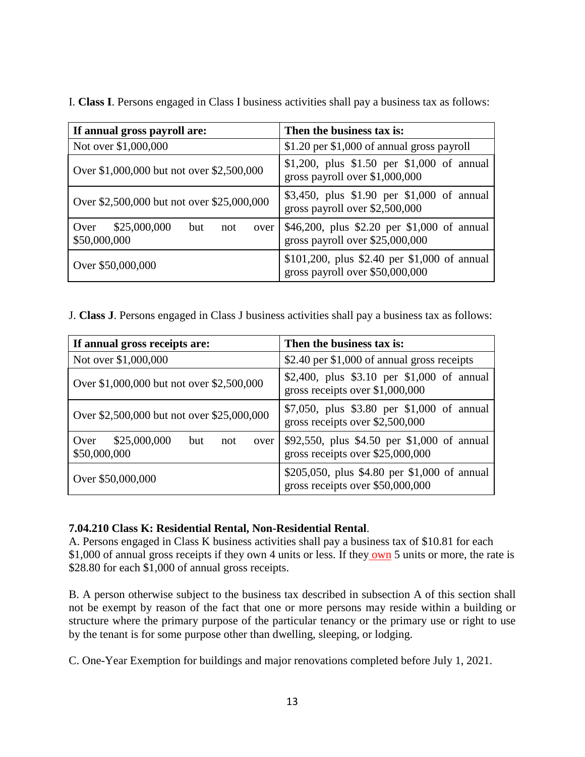I. **Class I**. Persons engaged in Class I business activities shall pay a business tax as follows:

| If annual gross payroll are:                               | Then the business tax is:                                                       |
|------------------------------------------------------------|---------------------------------------------------------------------------------|
| Not over \$1,000,000                                       | \$1.20 per \$1,000 of annual gross payroll                                      |
| Over \$1,000,000 but not over \$2,500,000                  | \$1,200, plus \$1.50 per \$1,000 of annual<br>gross payroll over $$1,000,000$   |
| Over \$2,500,000 but not over \$25,000,000                 | \$3,450, plus \$1.90 per \$1,000 of annual<br>gross payroll over \$2,500,000    |
| \$25,000,000<br>Over<br>but<br>not<br>over<br>\$50,000,000 | \$46,200, plus \$2.20 per \$1,000 of annual<br>gross payroll over \$25,000,000  |
| Over \$50,000,000                                          | \$101,200, plus \$2.40 per \$1,000 of annual<br>gross payroll over \$50,000,000 |

J. **Class J**. Persons engaged in Class J business activities shall pay a business tax as follows:

| If annual gross receipts are:                              | Then the business tax is:                                                        |
|------------------------------------------------------------|----------------------------------------------------------------------------------|
| Not over \$1,000,000                                       | \$2.40 per \$1,000 of annual gross receipts                                      |
| Over \$1,000,000 but not over \$2,500,000                  | \$2,400, plus \$3.10 per \$1,000 of annual<br>gross receipts over $$1,000,000$   |
| Over \$2,500,000 but not over \$25,000,000                 | \$7,050, plus \$3.80 per \$1,000 of annual<br>gross receipts over \$2,500,000    |
| \$25,000,000<br>Over<br>but<br>not<br>over<br>\$50,000,000 | \$92,550, plus \$4.50 per \$1,000 of annual<br>gross receipts over \$25,000,000  |
| Over \$50,000,000                                          | \$205,050, plus \$4.80 per \$1,000 of annual<br>gross receipts over \$50,000,000 |

# **7.04.210 Class K: Residential Rental, Non-Residential Rental**.

A. Persons engaged in Class K business activities shall pay a business tax of \$10.81 for each \$1,000 of annual gross receipts if they own 4 units or less. If they own 5 units or more, the rate is \$28.80 for each \$1,000 of annual gross receipts.

B. A person otherwise subject to the business tax described in subsection A of this section shall not be exempt by reason of the fact that one or more persons may reside within a building or structure where the primary purpose of the particular tenancy or the primary use or right to use by the tenant is for some purpose other than dwelling, sleeping, or lodging.

C. One-Year Exemption for buildings and major renovations completed before July 1, 2021.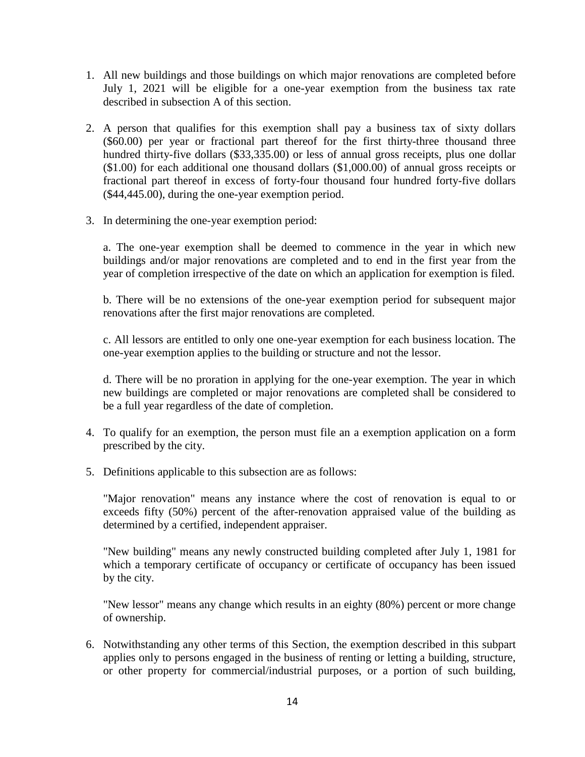- 1. All new buildings and those buildings on which major renovations are completed before July 1, 2021 will be eligible for a one-year exemption from the business tax rate described in subsection A of this section.
- 2. A person that qualifies for this exemption shall pay a business tax of sixty dollars (\$60.00) per year or fractional part thereof for the first thirty-three thousand three hundred thirty-five dollars (\$33,335.00) or less of annual gross receipts, plus one dollar (\$1.00) for each additional one thousand dollars (\$1,000.00) of annual gross receipts or fractional part thereof in excess of forty-four thousand four hundred forty-five dollars (\$44,445.00), during the one-year exemption period.
- 3. In determining the one-year exemption period:

a. The one-year exemption shall be deemed to commence in the year in which new buildings and/or major renovations are completed and to end in the first year from the year of completion irrespective of the date on which an application for exemption is filed.

b. There will be no extensions of the one-year exemption period for subsequent major renovations after the first major renovations are completed.

c. All lessors are entitled to only one one-year exemption for each business location. The one-year exemption applies to the building or structure and not the lessor.

d. There will be no proration in applying for the one-year exemption. The year in which new buildings are completed or major renovations are completed shall be considered to be a full year regardless of the date of completion.

- 4. To qualify for an exemption, the person must file an a exemption application on a form prescribed by the city.
- 5. Definitions applicable to this subsection are as follows:

"Major renovation" means any instance where the cost of renovation is equal to or exceeds fifty (50%) percent of the after-renovation appraised value of the building as determined by a certified, independent appraiser.

"New building" means any newly constructed building completed after July 1, 1981 for which a temporary certificate of occupancy or certificate of occupancy has been issued by the city.

"New lessor" means any change which results in an eighty (80%) percent or more change of ownership.

6. Notwithstanding any other terms of this Section, the exemption described in this subpart applies only to persons engaged in the business of renting or letting a building, structure, or other property for commercial/industrial purposes, or a portion of such building,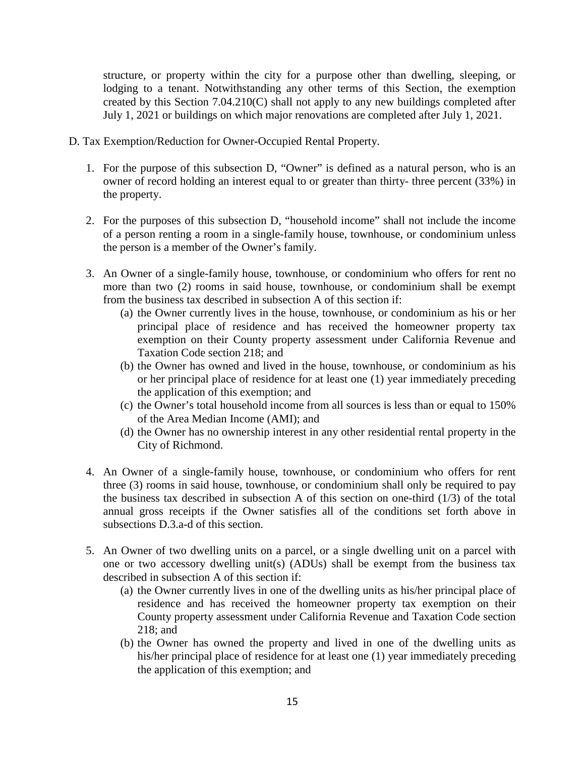structure, or property within the city for a purpose other than dwelling, sleeping, or lodging to a tenant. Notwithstanding any other terms of this Section, the exemption created by this Section 7.04.210(C) shall not apply to any new buildings completed after July 1, 2021 or buildings on which major renovations are completed after July 1, 2021.

- D. Tax Exemption/Reduction for Owner-Occupied Rental Property.
	- 1. For the purpose of this subsection D, "Owner" is defined as a natural person, who is an owner of record holding an interest equal to or greater than thirty- three percent (33%) in the property.
	- 2. For the purposes of this subsection D, "household income" shall not include the income of a person renting a room in a single-family house, townhouse, or condominium unless the person is a member of the Owner's family.
	- 3. An Owner of a single-family house, townhouse, or condominium who offers for rent no more than two (2) rooms in said house, townhouse, or condominium shall be exempt from the business tax described in subsection A of this section if:
		- (a) the Owner currently lives in the house, townhouse, or condominium as his or her principal place of residence and has received the homeowner property tax exemption on their County property assessment under California Revenue and Taxation Code section 218; and
		- (b) the Owner has owned and lived in the house, townhouse, or condominium as his or her principal place of residence for at least one (1) year immediately preceding the application of this exemption; and
		- (c) the Owner's total household income from all sources is less than or equal to 150% of the Area Median Income (AMI); and
		- (d) the Owner has no ownership interest in any other residential rental property in the City of Richmond.
	- 4. An Owner of a single-family house, townhouse, or condominium who offers for rent three (3) rooms in said house, townhouse, or condominium shall only be required to pay the business tax described in subsection A of this section on one-third (1/3) of the total annual gross receipts if the Owner satisfies all of the conditions set forth above in subsections D.3.a-d of this section.
	- 5. An Owner of two dwelling units on a parcel, or a single dwelling unit on a parcel with one or two accessory dwelling unit(s) (ADUs) shall be exempt from the business tax described in subsection A of this section if:
		- (a) the Owner currently lives in one of the dwelling units as his/her principal place of residence and has received the homeowner property tax exemption on their County property assessment under California Revenue and Taxation Code section 218; and
		- (b) the Owner has owned the property and lived in one of the dwelling units as his/her principal place of residence for at least one (1) year immediately preceding the application of this exemption; and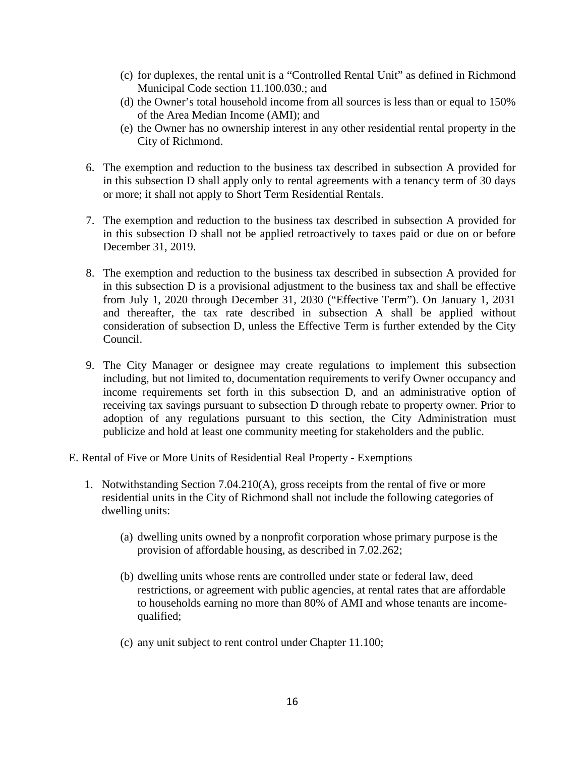- (c) for duplexes, the rental unit is a "Controlled Rental Unit" as defined in Richmond Municipal Code section 11.100.030.; and
- (d) the Owner's total household income from all sources is less than or equal to 150% of the Area Median Income (AMI); and
- (e) the Owner has no ownership interest in any other residential rental property in the City of Richmond.
- 6. The exemption and reduction to the business tax described in subsection A provided for in this subsection D shall apply only to rental agreements with a tenancy term of 30 days or more; it shall not apply to Short Term Residential Rentals.
- 7. The exemption and reduction to the business tax described in subsection A provided for in this subsection D shall not be applied retroactively to taxes paid or due on or before December 31, 2019.
- 8. The exemption and reduction to the business tax described in subsection A provided for in this subsection D is a provisional adjustment to the business tax and shall be effective from July 1, 2020 through December 31, 2030 ("Effective Term"). On January 1, 2031 and thereafter, the tax rate described in subsection A shall be applied without consideration of subsection D, unless the Effective Term is further extended by the City Council.
- 9. The City Manager or designee may create regulations to implement this subsection including, but not limited to, documentation requirements to verify Owner occupancy and income requirements set forth in this subsection D, and an administrative option of receiving tax savings pursuant to subsection D through rebate to property owner. Prior to adoption of any regulations pursuant to this section, the City Administration must publicize and hold at least one community meeting for stakeholders and the public.
- E. Rental of Five or More Units of Residential Real Property Exemptions
	- 1. Notwithstanding Section 7.04.210(A), gross receipts from the rental of five or more residential units in the City of Richmond shall not include the following categories of dwelling units:
		- (a) dwelling units owned by a nonprofit corporation whose primary purpose is the provision of affordable housing, as described in 7.02.262;
		- (b) dwelling units whose rents are controlled under state or federal law, deed restrictions, or agreement with public agencies, at rental rates that are affordable to households earning no more than 80% of AMI and whose tenants are incomequalified;
		- (c) any unit subject to rent control under Chapter 11.100;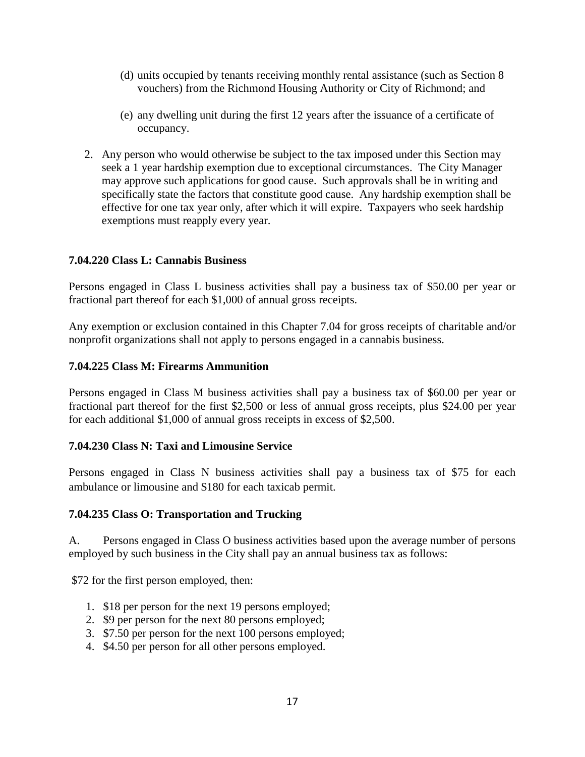- (d) units occupied by tenants receiving monthly rental assistance (such as Section 8 vouchers) from the Richmond Housing Authority or City of Richmond; and
- (e) any dwelling unit during the first 12 years after the issuance of a certificate of occupancy.
- 2. Any person who would otherwise be subject to the tax imposed under this Section may seek a 1 year hardship exemption due to exceptional circumstances. The City Manager may approve such applications for good cause. Such approvals shall be in writing and specifically state the factors that constitute good cause. Any hardship exemption shall be effective for one tax year only, after which it will expire. Taxpayers who seek hardship exemptions must reapply every year.

### **7.04.220 Class L: Cannabis Business**

Persons engaged in Class L business activities shall pay a business tax of \$50.00 per year or fractional part thereof for each \$1,000 of annual gross receipts.

Any exemption or exclusion contained in this Chapter 7.04 for gross receipts of charitable and/or nonprofit organizations shall not apply to persons engaged in a cannabis business.

### **7.04.225 Class M: Firearms Ammunition**

Persons engaged in Class M business activities shall pay a business tax of \$60.00 per year or fractional part thereof for the first \$2,500 or less of annual gross receipts, plus \$24.00 per year for each additional \$1,000 of annual gross receipts in excess of \$2,500.

### **7.04.230 Class N: Taxi and Limousine Service**

Persons engaged in Class N business activities shall pay a business tax of \$75 for each ambulance or limousine and \$180 for each taxicab permit.

### **7.04.235 Class O: Transportation and Trucking**

A. Persons engaged in Class O business activities based upon the average number of persons employed by such business in the City shall pay an annual business tax as follows:

\$72 for the first person employed, then:

- 1. \$18 per person for the next 19 persons employed;
- 2. \$9 per person for the next 80 persons employed;
- 3. \$7.50 per person for the next 100 persons employed;
- 4. \$4.50 per person for all other persons employed.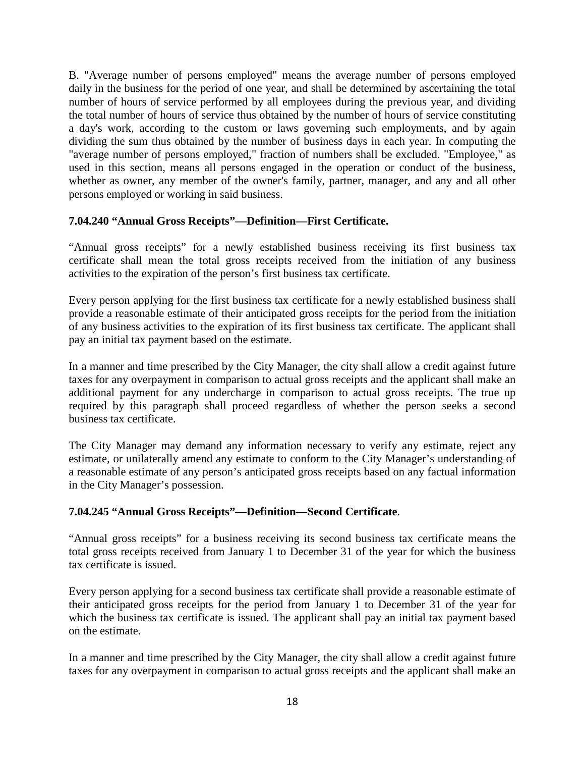B. "Average number of persons employed" means the average number of persons employed daily in the business for the period of one year, and shall be determined by ascertaining the total number of hours of service performed by all employees during the previous year, and dividing the total number of hours of service thus obtained by the number of hours of service constituting a day's work, according to the custom or laws governing such employments, and by again dividing the sum thus obtained by the number of business days in each year. In computing the "average number of persons employed," fraction of numbers shall be excluded. "Employee," as used in this section, means all persons engaged in the operation or conduct of the business, whether as owner, any member of the owner's family, partner, manager, and any and all other persons employed or working in said business.

# **7.04.240 "Annual Gross Receipts"—Definition—First Certificate.**

"Annual gross receipts" for a newly established business receiving its first business tax certificate shall mean the total gross receipts received from the initiation of any business activities to the expiration of the person's first business tax certificate.

Every person applying for the first business tax certificate for a newly established business shall provide a reasonable estimate of their anticipated gross receipts for the period from the initiation of any business activities to the expiration of its first business tax certificate. The applicant shall pay an initial tax payment based on the estimate.

In a manner and time prescribed by the City Manager, the city shall allow a credit against future taxes for any overpayment in comparison to actual gross receipts and the applicant shall make an additional payment for any undercharge in comparison to actual gross receipts. The true up required by this paragraph shall proceed regardless of whether the person seeks a second business tax certificate.

The City Manager may demand any information necessary to verify any estimate, reject any estimate, or unilaterally amend any estimate to conform to the City Manager's understanding of a reasonable estimate of any person's anticipated gross receipts based on any factual information in the City Manager's possession.

# **7.04.245 "Annual Gross Receipts"—Definition—Second Certificate**.

"Annual gross receipts" for a business receiving its second business tax certificate means the total gross receipts received from January 1 to December 31 of the year for which the business tax certificate is issued.

Every person applying for a second business tax certificate shall provide a reasonable estimate of their anticipated gross receipts for the period from January 1 to December 31 of the year for which the business tax certificate is issued. The applicant shall pay an initial tax payment based on the estimate.

In a manner and time prescribed by the City Manager, the city shall allow a credit against future taxes for any overpayment in comparison to actual gross receipts and the applicant shall make an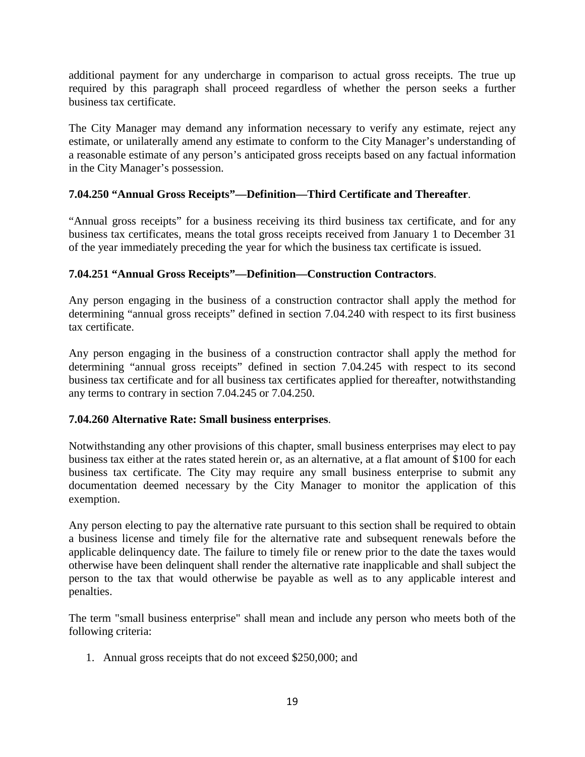additional payment for any undercharge in comparison to actual gross receipts. The true up required by this paragraph shall proceed regardless of whether the person seeks a further business tax certificate.

The City Manager may demand any information necessary to verify any estimate, reject any estimate, or unilaterally amend any estimate to conform to the City Manager's understanding of a reasonable estimate of any person's anticipated gross receipts based on any factual information in the City Manager's possession.

# **7.04.250 "Annual Gross Receipts"—Definition—Third Certificate and Thereafter**.

"Annual gross receipts" for a business receiving its third business tax certificate, and for any business tax certificates, means the total gross receipts received from January 1 to December 31 of the year immediately preceding the year for which the business tax certificate is issued.

### **7.04.251 "Annual Gross Receipts"—Definition—Construction Contractors**.

Any person engaging in the business of a construction contractor shall apply the method for determining "annual gross receipts" defined in section 7.04.240 with respect to its first business tax certificate.

Any person engaging in the business of a construction contractor shall apply the method for determining "annual gross receipts" defined in section 7.04.245 with respect to its second business tax certificate and for all business tax certificates applied for thereafter, notwithstanding any terms to contrary in section 7.04.245 or 7.04.250.

### **7.04.260 Alternative Rate: Small business enterprises**.

Notwithstanding any other provisions of this chapter, small business enterprises may elect to pay business tax either at the rates stated herein or, as an alternative, at a flat amount of \$100 for each business tax certificate. The City may require any small business enterprise to submit any documentation deemed necessary by the City Manager to monitor the application of this exemption.

Any person electing to pay the alternative rate pursuant to this section shall be required to obtain a business license and timely file for the alternative rate and subsequent renewals before the applicable delinquency date. The failure to timely file or renew prior to the date the taxes would otherwise have been delinquent shall render the alternative rate inapplicable and shall subject the person to the tax that would otherwise be payable as well as to any applicable interest and penalties.

The term "small business enterprise" shall mean and include any person who meets both of the following criteria:

1. Annual gross receipts that do not exceed \$250,000; and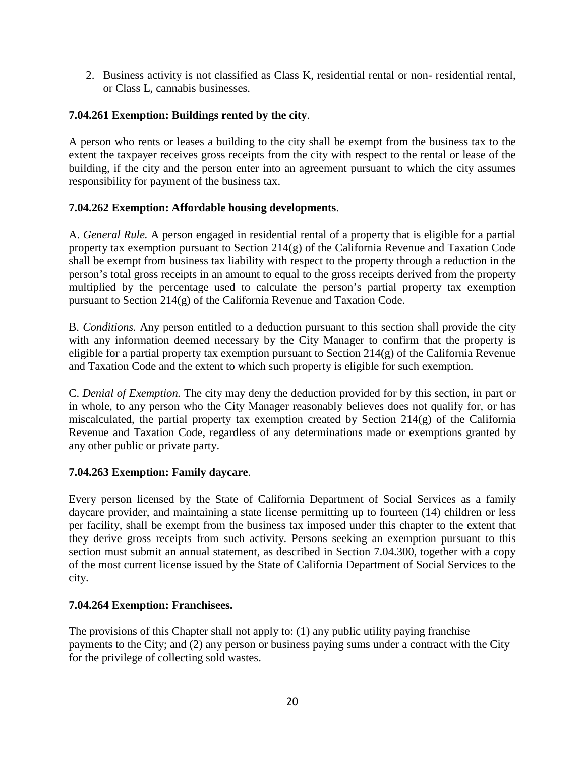2. Business activity is not classified as Class K, residential rental or non- residential rental, or Class L, cannabis businesses.

# **7.04.261 Exemption: Buildings rented by the city**.

A person who rents or leases a building to the city shall be exempt from the business tax to the extent the taxpayer receives gross receipts from the city with respect to the rental or lease of the building, if the city and the person enter into an agreement pursuant to which the city assumes responsibility for payment of the business tax.

# **7.04.262 Exemption: Affordable housing developments**.

A. *General Rule.* A person engaged in residential rental of a property that is eligible for a partial property tax exemption pursuant to Section 214(g) of the California Revenue and Taxation Code shall be exempt from business tax liability with respect to the property through a reduction in the person's total gross receipts in an amount to equal to the gross receipts derived from the property multiplied by the percentage used to calculate the person's partial property tax exemption pursuant to Section 214(g) of the California Revenue and Taxation Code.

B. *Conditions.* Any person entitled to a deduction pursuant to this section shall provide the city with any information deemed necessary by the City Manager to confirm that the property is eligible for a partial property tax exemption pursuant to Section  $214(g)$  of the California Revenue and Taxation Code and the extent to which such property is eligible for such exemption.

C. *Denial of Exemption.* The city may deny the deduction provided for by this section, in part or in whole, to any person who the City Manager reasonably believes does not qualify for, or has miscalculated, the partial property tax exemption created by Section 214(g) of the California Revenue and Taxation Code, regardless of any determinations made or exemptions granted by any other public or private party.

# **7.04.263 Exemption: Family daycare**.

Every person licensed by the State of California Department of Social Services as a family daycare provider, and maintaining a state license permitting up to fourteen (14) children or less per facility, shall be exempt from the business tax imposed under this chapter to the extent that they derive gross receipts from such activity. Persons seeking an exemption pursuant to this section must submit an annual statement, as described in Section 7.04.300, together with a copy of the most current license issued by the State of California Department of Social Services to the city.

# **7.04.264 Exemption: Franchisees.**

The provisions of this Chapter shall not apply to: (1) any public utility paying franchise payments to the City; and (2) any person or business paying sums under a contract with the City for the privilege of collecting sold wastes.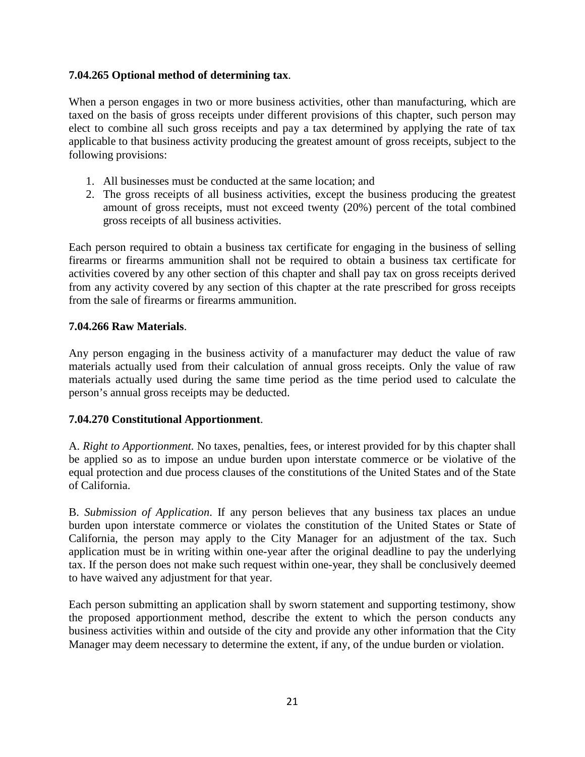### **7.04.265 Optional method of determining tax**.

When a person engages in two or more business activities, other than manufacturing, which are taxed on the basis of gross receipts under different provisions of this chapter, such person may elect to combine all such gross receipts and pay a tax determined by applying the rate of tax applicable to that business activity producing the greatest amount of gross receipts, subject to the following provisions:

- 1. All businesses must be conducted at the same location; and
- 2. The gross receipts of all business activities, except the business producing the greatest amount of gross receipts, must not exceed twenty (20%) percent of the total combined gross receipts of all business activities.

Each person required to obtain a business tax certificate for engaging in the business of selling firearms or firearms ammunition shall not be required to obtain a business tax certificate for activities covered by any other section of this chapter and shall pay tax on gross receipts derived from any activity covered by any section of this chapter at the rate prescribed for gross receipts from the sale of firearms or firearms ammunition.

### **7.04.266 Raw Materials**.

Any person engaging in the business activity of a manufacturer may deduct the value of raw materials actually used from their calculation of annual gross receipts. Only the value of raw materials actually used during the same time period as the time period used to calculate the person's annual gross receipts may be deducted.

### **7.04.270 Constitutional Apportionment**.

A. *Right to Apportionment.* No taxes, penalties, fees, or interest provided for by this chapter shall be applied so as to impose an undue burden upon interstate commerce or be violative of the equal protection and due process clauses of the constitutions of the United States and of the State of California.

B. *Submission of Application*. If any person believes that any business tax places an undue burden upon interstate commerce or violates the constitution of the United States or State of California, the person may apply to the City Manager for an adjustment of the tax. Such application must be in writing within one-year after the original deadline to pay the underlying tax. If the person does not make such request within one-year, they shall be conclusively deemed to have waived any adjustment for that year.

Each person submitting an application shall by sworn statement and supporting testimony, show the proposed apportionment method, describe the extent to which the person conducts any business activities within and outside of the city and provide any other information that the City Manager may deem necessary to determine the extent, if any, of the undue burden or violation.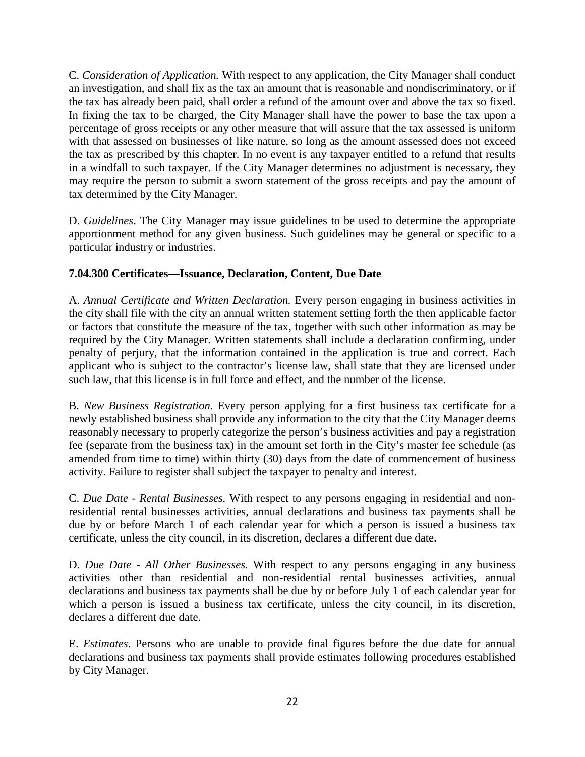C. *Consideration of Application.* With respect to any application, the City Manager shall conduct an investigation, and shall fix as the tax an amount that is reasonable and nondiscriminatory, or if the tax has already been paid, shall order a refund of the amount over and above the tax so fixed. In fixing the tax to be charged, the City Manager shall have the power to base the tax upon a percentage of gross receipts or any other measure that will assure that the tax assessed is uniform with that assessed on businesses of like nature, so long as the amount assessed does not exceed the tax as prescribed by this chapter. In no event is any taxpayer entitled to a refund that results in a windfall to such taxpayer. If the City Manager determines no adjustment is necessary, they may require the person to submit a sworn statement of the gross receipts and pay the amount of tax determined by the City Manager.

D. *Guidelines*. The City Manager may issue guidelines to be used to determine the appropriate apportionment method for any given business. Such guidelines may be general or specific to a particular industry or industries.

# **7.04.300 Certificates—Issuance, Declaration, Content, Due Date**

A. *Annual Certificate and Written Declaration.* Every person engaging in business activities in the city shall file with the city an annual written statement setting forth the then applicable factor or factors that constitute the measure of the tax, together with such other information as may be required by the City Manager. Written statements shall include a declaration confirming, under penalty of perjury, that the information contained in the application is true and correct. Each applicant who is subject to the contractor's license law, shall state that they are licensed under such law, that this license is in full force and effect, and the number of the license.

B. *New Business Registration.* Every person applying for a first business tax certificate for a newly established business shall provide any information to the city that the City Manager deems reasonably necessary to properly categorize the person's business activities and pay a registration fee (separate from the business tax) in the amount set forth in the City's master fee schedule (as amended from time to time) within thirty (30) days from the date of commencement of business activity. Failure to register shall subject the taxpayer to penalty and interest.

C. *Due Date - Rental Businesses.* With respect to any persons engaging in residential and nonresidential rental businesses activities, annual declarations and business tax payments shall be due by or before March 1 of each calendar year for which a person is issued a business tax certificate, unless the city council, in its discretion, declares a different due date.

D. *Due Date - All Other Businesses.* With respect to any persons engaging in any business activities other than residential and non-residential rental businesses activities, annual declarations and business tax payments shall be due by or before July 1 of each calendar year for which a person is issued a business tax certificate, unless the city council, in its discretion, declares a different due date.

E. *Estimates*. Persons who are unable to provide final figures before the due date for annual declarations and business tax payments shall provide estimates following procedures established by City Manager.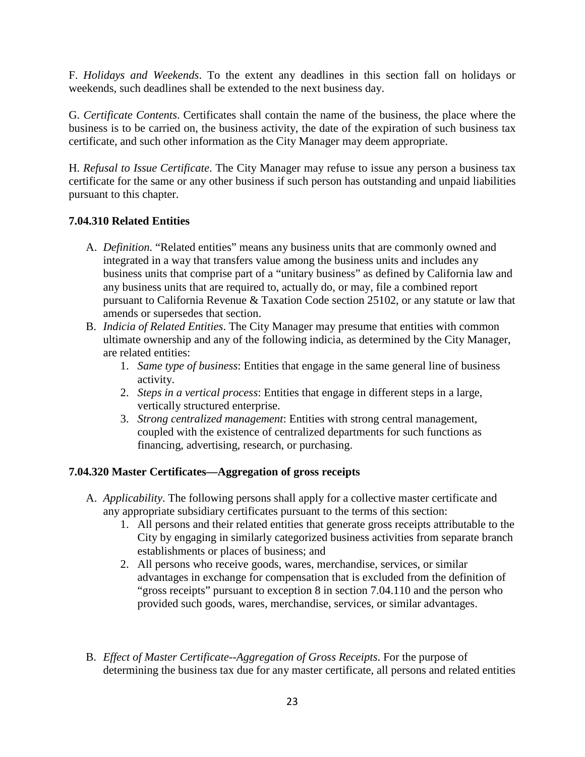F. *Holidays and Weekends*. To the extent any deadlines in this section fall on holidays or weekends, such deadlines shall be extended to the next business day.

G. *Certificate Contents*. Certificates shall contain the name of the business, the place where the business is to be carried on, the business activity, the date of the expiration of such business tax certificate, and such other information as the City Manager may deem appropriate.

H. *Refusal to Issue Certificate*. The City Manager may refuse to issue any person a business tax certificate for the same or any other business if such person has outstanding and unpaid liabilities pursuant to this chapter.

# **7.04.310 Related Entities**

- A. *Definition.* "Related entities" means any business units that are commonly owned and integrated in a way that transfers value among the business units and includes any business units that comprise part of a "unitary business" as defined by California law and any business units that are required to, actually do, or may, file a combined report pursuant to California Revenue & Taxation Code section 25102, or any statute or law that amends or supersedes that section.
- B. *Indicia of Related Entities*. The City Manager may presume that entities with common ultimate ownership and any of the following indicia, as determined by the City Manager, are related entities:
	- 1. *Same type of business*: Entities that engage in the same general line of business activity.
	- 2. *Steps in a vertical process*: Entities that engage in different steps in a large, vertically structured enterprise.
	- 3. *Strong centralized management*: Entities with strong central management, coupled with the existence of centralized departments for such functions as financing, advertising, research, or purchasing.

# **7.04.320 Master Certificates—Aggregation of gross receipts**

- A. *Applicability*. The following persons shall apply for a collective master certificate and any appropriate subsidiary certificates pursuant to the terms of this section:
	- 1. All persons and their related entities that generate gross receipts attributable to the City by engaging in similarly categorized business activities from separate branch establishments or places of business; and
	- 2. All persons who receive goods, wares, merchandise, services, or similar advantages in exchange for compensation that is excluded from the definition of "gross receipts" pursuant to exception 8 in section 7.04.110 and the person who provided such goods, wares, merchandise, services, or similar advantages.
- B. *Effect of Master Certificate--Aggregation of Gross Receipts*. For the purpose of determining the business tax due for any master certificate, all persons and related entities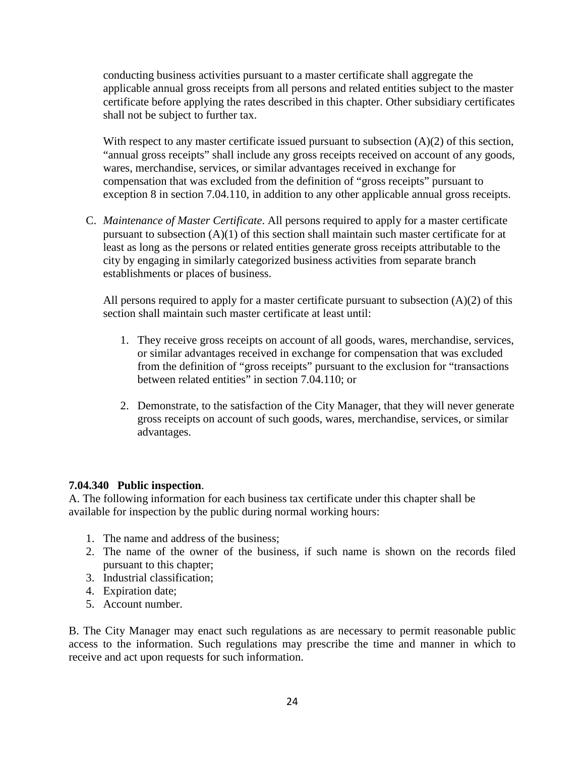conducting business activities pursuant to a master certificate shall aggregate the applicable annual gross receipts from all persons and related entities subject to the master certificate before applying the rates described in this chapter. Other subsidiary certificates shall not be subject to further tax.

With respect to any master certificate issued pursuant to subsection  $(A)(2)$  of this section, "annual gross receipts" shall include any gross receipts received on account of any goods, wares, merchandise, services, or similar advantages received in exchange for compensation that was excluded from the definition of "gross receipts" pursuant to exception 8 in section 7.04.110, in addition to any other applicable annual gross receipts.

C. *Maintenance of Master Certificate*. All persons required to apply for a master certificate pursuant to subsection (A)(1) of this section shall maintain such master certificate for at least as long as the persons or related entities generate gross receipts attributable to the city by engaging in similarly categorized business activities from separate branch establishments or places of business.

All persons required to apply for a master certificate pursuant to subsection  $(A)(2)$  of this section shall maintain such master certificate at least until:

- 1. They receive gross receipts on account of all goods, wares, merchandise, services, or similar advantages received in exchange for compensation that was excluded from the definition of "gross receipts" pursuant to the exclusion for "transactions between related entities" in section 7.04.110; or
- 2. Demonstrate, to the satisfaction of the City Manager, that they will never generate gross receipts on account of such goods, wares, merchandise, services, or similar advantages.

### **7.04.340 Public inspection**.

A. The following information for each business tax certificate under this chapter shall be available for inspection by the public during normal working hours:

- 1. The name and address of the business;
- 2. The name of the owner of the business, if such name is shown on the records filed pursuant to this chapter;
- 3. Industrial classification;
- 4. Expiration date;
- 5. Account number.

B. The City Manager may enact such regulations as are necessary to permit reasonable public access to the information. Such regulations may prescribe the time and manner in which to receive and act upon requests for such information.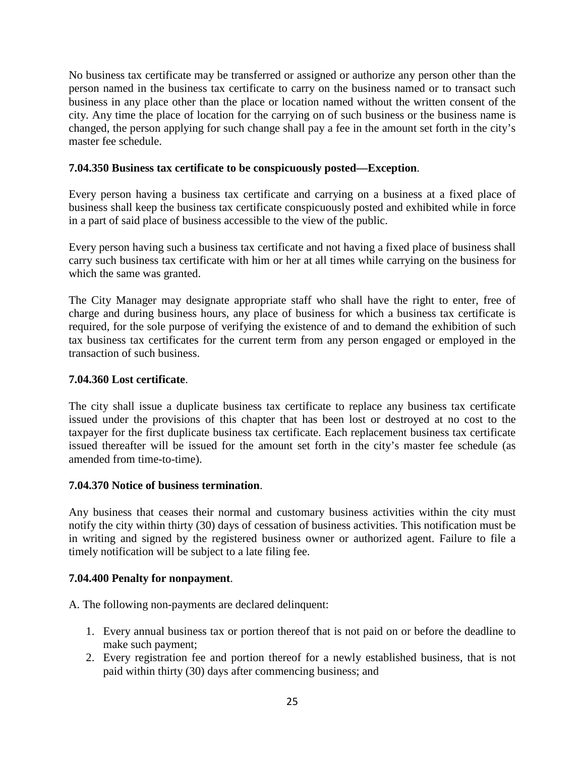No business tax certificate may be transferred or assigned or authorize any person other than the person named in the business tax certificate to carry on the business named or to transact such business in any place other than the place or location named without the written consent of the city. Any time the place of location for the carrying on of such business or the business name is changed, the person applying for such change shall pay a fee in the amount set forth in the city's master fee schedule.

### **7.04.350 Business tax certificate to be conspicuously posted—Exception**.

Every person having a business tax certificate and carrying on a business at a fixed place of business shall keep the business tax certificate conspicuously posted and exhibited while in force in a part of said place of business accessible to the view of the public.

Every person having such a business tax certificate and not having a fixed place of business shall carry such business tax certificate with him or her at all times while carrying on the business for which the same was granted.

The City Manager may designate appropriate staff who shall have the right to enter, free of charge and during business hours, any place of business for which a business tax certificate is required, for the sole purpose of verifying the existence of and to demand the exhibition of such tax business tax certificates for the current term from any person engaged or employed in the transaction of such business.

### **7.04.360 Lost certificate**.

The city shall issue a duplicate business tax certificate to replace any business tax certificate issued under the provisions of this chapter that has been lost or destroyed at no cost to the taxpayer for the first duplicate business tax certificate. Each replacement business tax certificate issued thereafter will be issued for the amount set forth in the city's master fee schedule (as amended from time-to-time).

### **7.04.370 Notice of business termination**.

Any business that ceases their normal and customary business activities within the city must notify the city within thirty (30) days of cessation of business activities. This notification must be in writing and signed by the registered business owner or authorized agent. Failure to file a timely notification will be subject to a late filing fee.

### **7.04.400 Penalty for nonpayment**.

A. The following non-payments are declared delinquent:

- 1. Every annual business tax or portion thereof that is not paid on or before the deadline to make such payment;
- 2. Every registration fee and portion thereof for a newly established business, that is not paid within thirty (30) days after commencing business; and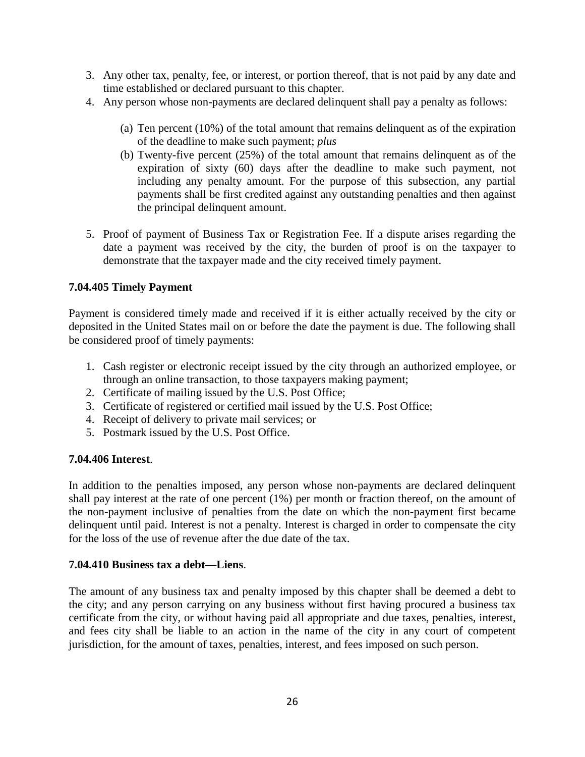- 3. Any other tax, penalty, fee, or interest, or portion thereof, that is not paid by any date and time established or declared pursuant to this chapter.
- 4. Any person whose non-payments are declared delinquent shall pay a penalty as follows:
	- (a) Ten percent (10%) of the total amount that remains delinquent as of the expiration of the deadline to make such payment; *plus*
	- (b) Twenty-five percent (25%) of the total amount that remains delinquent as of the expiration of sixty (60) days after the deadline to make such payment, not including any penalty amount. For the purpose of this subsection, any partial payments shall be first credited against any outstanding penalties and then against the principal delinquent amount.
- 5. Proof of payment of Business Tax or Registration Fee. If a dispute arises regarding the date a payment was received by the city, the burden of proof is on the taxpayer to demonstrate that the taxpayer made and the city received timely payment.

### **7.04.405 Timely Payment**

Payment is considered timely made and received if it is either actually received by the city or deposited in the United States mail on or before the date the payment is due. The following shall be considered proof of timely payments:

- 1. Cash register or electronic receipt issued by the city through an authorized employee, or through an online transaction, to those taxpayers making payment;
- 2. Certificate of mailing issued by the U.S. Post Office;
- 3. Certificate of registered or certified mail issued by the U.S. Post Office;
- 4. Receipt of delivery to private mail services; or
- 5. Postmark issued by the U.S. Post Office.

### **7.04.406 Interest**.

In addition to the penalties imposed, any person whose non-payments are declared delinquent shall pay interest at the rate of one percent (1%) per month or fraction thereof, on the amount of the non-payment inclusive of penalties from the date on which the non-payment first became delinquent until paid. Interest is not a penalty. Interest is charged in order to compensate the city for the loss of the use of revenue after the due date of the tax.

### **7.04.410 Business tax a debt—Liens**.

The amount of any business tax and penalty imposed by this chapter shall be deemed a debt to the city; and any person carrying on any business without first having procured a business tax certificate from the city, or without having paid all appropriate and due taxes, penalties, interest, and fees city shall be liable to an action in the name of the city in any court of competent jurisdiction, for the amount of taxes, penalties, interest, and fees imposed on such person.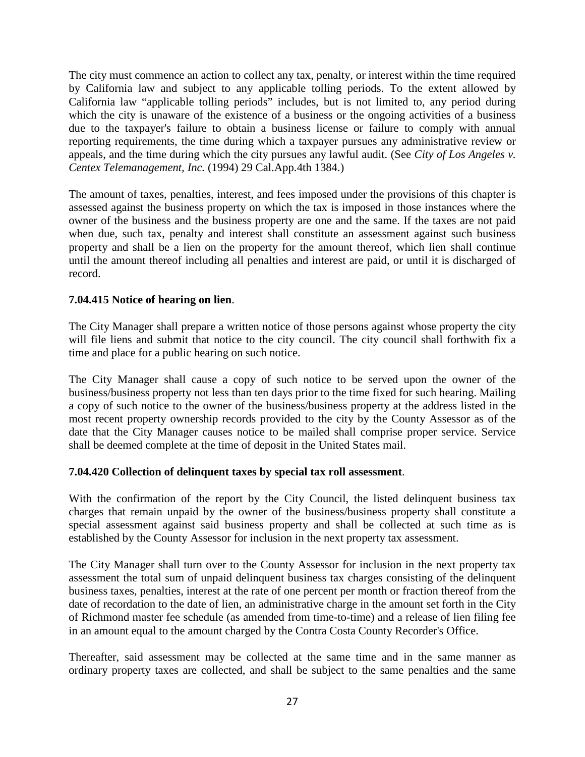The city must commence an action to collect any tax, penalty, or interest within the time required by California law and subject to any applicable tolling periods. To the extent allowed by California law "applicable tolling periods" includes, but is not limited to, any period during which the city is unaware of the existence of a business or the ongoing activities of a business due to the taxpayer's failure to obtain a business license or failure to comply with annual reporting requirements, the time during which a taxpayer pursues any administrative review or appeals, and the time during which the city pursues any lawful audit. (See *City of Los Angeles v. Centex Telemanagement, Inc.* (1994) 29 Cal.App.4th 1384.)

The amount of taxes, penalties, interest, and fees imposed under the provisions of this chapter is assessed against the business property on which the tax is imposed in those instances where the owner of the business and the business property are one and the same. If the taxes are not paid when due, such tax, penalty and interest shall constitute an assessment against such business property and shall be a lien on the property for the amount thereof, which lien shall continue until the amount thereof including all penalties and interest are paid, or until it is discharged of record.

# **7.04.415 Notice of hearing on lien**.

The City Manager shall prepare a written notice of those persons against whose property the city will file liens and submit that notice to the city council. The city council shall forthwith fix a time and place for a public hearing on such notice.

The City Manager shall cause a copy of such notice to be served upon the owner of the business/business property not less than ten days prior to the time fixed for such hearing. Mailing a copy of such notice to the owner of the business/business property at the address listed in the most recent property ownership records provided to the city by the County Assessor as of the date that the City Manager causes notice to be mailed shall comprise proper service. Service shall be deemed complete at the time of deposit in the United States mail.

### **7.04.420 Collection of delinquent taxes by special tax roll assessment**.

With the confirmation of the report by the City Council, the listed delinquent business tax charges that remain unpaid by the owner of the business/business property shall constitute a special assessment against said business property and shall be collected at such time as is established by the County Assessor for inclusion in the next property tax assessment.

The City Manager shall turn over to the County Assessor for inclusion in the next property tax assessment the total sum of unpaid delinquent business tax charges consisting of the delinquent business taxes, penalties, interest at the rate of one percent per month or fraction thereof from the date of recordation to the date of lien, an administrative charge in the amount set forth in the City of Richmond master fee schedule (as amended from time-to-time) and a release of lien filing fee in an amount equal to the amount charged by the Contra Costa County Recorder's Office.

Thereafter, said assessment may be collected at the same time and in the same manner as ordinary property taxes are collected, and shall be subject to the same penalties and the same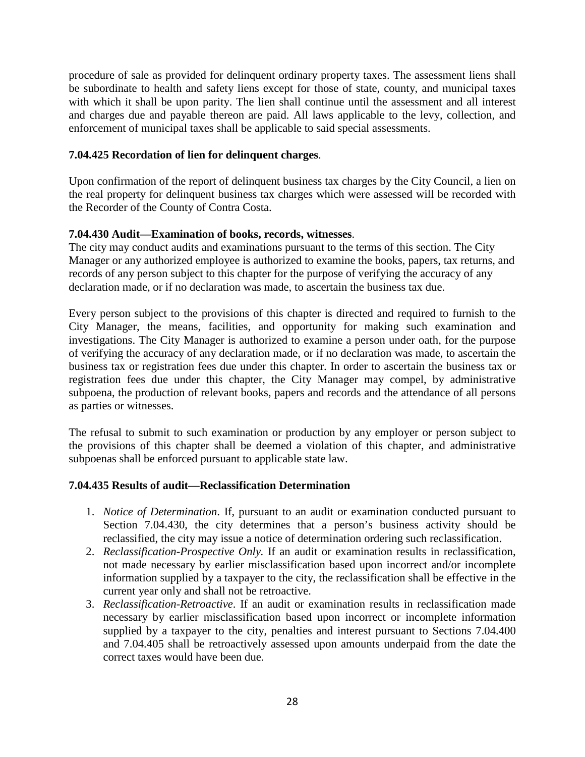procedure of sale as provided for delinquent ordinary property taxes. The assessment liens shall be subordinate to health and safety liens except for those of state, county, and municipal taxes with which it shall be upon parity. The lien shall continue until the assessment and all interest and charges due and payable thereon are paid. All laws applicable to the levy, collection, and enforcement of municipal taxes shall be applicable to said special assessments.

### **7.04.425 Recordation of lien for delinquent charges**.

Upon confirmation of the report of delinquent business tax charges by the City Council, a lien on the real property for delinquent business tax charges which were assessed will be recorded with the Recorder of the County of Contra Costa.

### **7.04.430 Audit—Examination of books, records, witnesses**.

The city may conduct audits and examinations pursuant to the terms of this section. The City Manager or any authorized employee is authorized to examine the books, papers, tax returns, and records of any person subject to this chapter for the purpose of verifying the accuracy of any declaration made, or if no declaration was made, to ascertain the business tax due.

Every person subject to the provisions of this chapter is directed and required to furnish to the City Manager, the means, facilities, and opportunity for making such examination and investigations. The City Manager is authorized to examine a person under oath, for the purpose of verifying the accuracy of any declaration made, or if no declaration was made, to ascertain the business tax or registration fees due under this chapter. In order to ascertain the business tax or registration fees due under this chapter, the City Manager may compel, by administrative subpoena, the production of relevant books, papers and records and the attendance of all persons as parties or witnesses.

The refusal to submit to such examination or production by any employer or person subject to the provisions of this chapter shall be deemed a violation of this chapter, and administrative subpoenas shall be enforced pursuant to applicable state law.

### **7.04.435 Results of audit—Reclassification Determination**

- 1. *Notice of Determination*. If, pursuant to an audit or examination conducted pursuant to Section 7.04.430, the city determines that a person's business activity should be reclassified, the city may issue a notice of determination ordering such reclassification.
- 2. *Reclassification-Prospective Only.* If an audit or examination results in reclassification, not made necessary by earlier misclassification based upon incorrect and/or incomplete information supplied by a taxpayer to the city, the reclassification shall be effective in the current year only and shall not be retroactive.
- 3. *Reclassification-Retroactive*. If an audit or examination results in reclassification made necessary by earlier misclassification based upon incorrect or incomplete information supplied by a taxpayer to the city, penalties and interest pursuant to Sections 7.04.400 and 7.04.405 shall be retroactively assessed upon amounts underpaid from the date the correct taxes would have been due.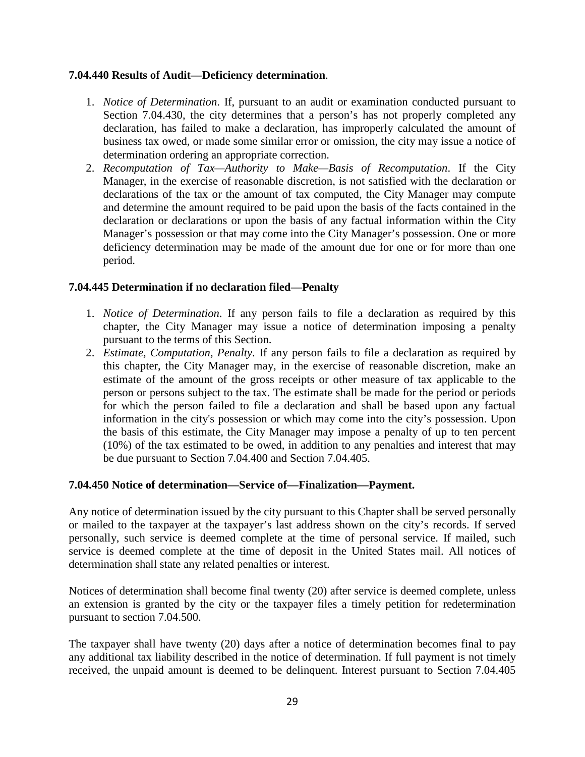### **7.04.440 Results of Audit—Deficiency determination**.

- 1. *Notice of Determination*. If, pursuant to an audit or examination conducted pursuant to Section 7.04.430, the city determines that a person's has not properly completed any declaration, has failed to make a declaration, has improperly calculated the amount of business tax owed, or made some similar error or omission, the city may issue a notice of determination ordering an appropriate correction.
- 2. *Recomputation of Tax—Authority to Make—Basis of Recomputation*. If the City Manager, in the exercise of reasonable discretion, is not satisfied with the declaration or declarations of the tax or the amount of tax computed, the City Manager may compute and determine the amount required to be paid upon the basis of the facts contained in the declaration or declarations or upon the basis of any factual information within the City Manager's possession or that may come into the City Manager's possession. One or more deficiency determination may be made of the amount due for one or for more than one period.

### **7.04.445 Determination if no declaration filed—Penalty**

- 1. *Notice of Determination*. If any person fails to file a declaration as required by this chapter, the City Manager may issue a notice of determination imposing a penalty pursuant to the terms of this Section.
- 2. *Estimate, Computation, Penalty*. If any person fails to file a declaration as required by this chapter, the City Manager may, in the exercise of reasonable discretion, make an estimate of the amount of the gross receipts or other measure of tax applicable to the person or persons subject to the tax. The estimate shall be made for the period or periods for which the person failed to file a declaration and shall be based upon any factual information in the city's possession or which may come into the city's possession. Upon the basis of this estimate, the City Manager may impose a penalty of up to ten percent (10%) of the tax estimated to be owed, in addition to any penalties and interest that may be due pursuant to Section 7.04.400 and Section 7.04.405.

### **7.04.450 Notice of determination—Service of—Finalization—Payment.**

Any notice of determination issued by the city pursuant to this Chapter shall be served personally or mailed to the taxpayer at the taxpayer's last address shown on the city's records. If served personally, such service is deemed complete at the time of personal service. If mailed, such service is deemed complete at the time of deposit in the United States mail. All notices of determination shall state any related penalties or interest.

Notices of determination shall become final twenty (20) after service is deemed complete, unless an extension is granted by the city or the taxpayer files a timely petition for redetermination pursuant to section 7.04.500.

The taxpayer shall have twenty (20) days after a notice of determination becomes final to pay any additional tax liability described in the notice of determination. If full payment is not timely received, the unpaid amount is deemed to be delinquent. Interest pursuant to Section 7.04.405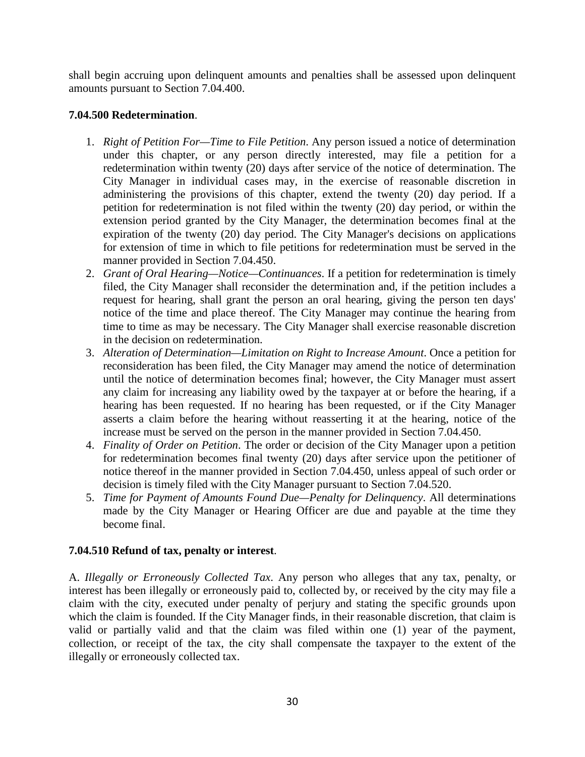shall begin accruing upon delinquent amounts and penalties shall be assessed upon delinquent amounts pursuant to Section 7.04.400.

### **7.04.500 Redetermination**.

- 1. *Right of Petition For—Time to File Petition*. Any person issued a notice of determination under this chapter, or any person directly interested, may file a petition for a redetermination within twenty (20) days after service of the notice of determination. The City Manager in individual cases may, in the exercise of reasonable discretion in administering the provisions of this chapter, extend the twenty (20) day period. If a petition for redetermination is not filed within the twenty (20) day period, or within the extension period granted by the City Manager, the determination becomes final at the expiration of the twenty (20) day period. The City Manager's decisions on applications for extension of time in which to file petitions for redetermination must be served in the manner provided in Section 7.04.450.
- 2. *Grant of Oral Hearing—Notice—Continuances*. If a petition for redetermination is timely filed, the City Manager shall reconsider the determination and, if the petition includes a request for hearing, shall grant the person an oral hearing, giving the person ten days' notice of the time and place thereof. The City Manager may continue the hearing from time to time as may be necessary. The City Manager shall exercise reasonable discretion in the decision on redetermination.
- 3. *Alteration of Determination—Limitation on Right to Increase Amount*. Once a petition for reconsideration has been filed, the City Manager may amend the notice of determination until the notice of determination becomes final; however, the City Manager must assert any claim for increasing any liability owed by the taxpayer at or before the hearing, if a hearing has been requested. If no hearing has been requested, or if the City Manager asserts a claim before the hearing without reasserting it at the hearing, notice of the increase must be served on the person in the manner provided in Section 7.04.450.
- 4. *Finality of Order on Petition*. The order or decision of the City Manager upon a petition for redetermination becomes final twenty (20) days after service upon the petitioner of notice thereof in the manner provided in Section 7.04.450, unless appeal of such order or decision is timely filed with the City Manager pursuant to Section 7.04.520.
- 5. *Time for Payment of Amounts Found Due—Penalty for Delinquency*. All determinations made by the City Manager or Hearing Officer are due and payable at the time they become final.

# **7.04.510 Refund of tax, penalty or interest**.

A. *Illegally or Erroneously Collected Tax*. Any person who alleges that any tax, penalty, or interest has been illegally or erroneously paid to, collected by, or received by the city may file a claim with the city, executed under penalty of perjury and stating the specific grounds upon which the claim is founded. If the City Manager finds, in their reasonable discretion, that claim is valid or partially valid and that the claim was filed within one (1) year of the payment, collection, or receipt of the tax, the city shall compensate the taxpayer to the extent of the illegally or erroneously collected tax.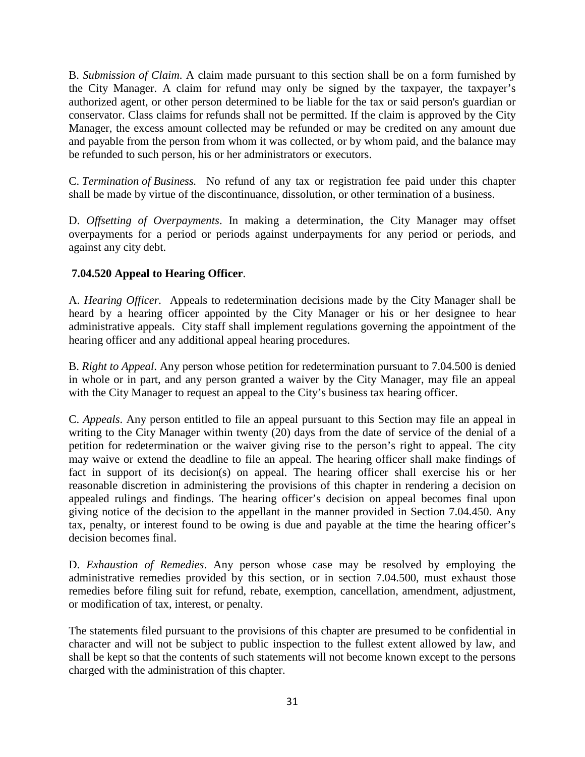B. *Submission of Claim*. A claim made pursuant to this section shall be on a form furnished by the City Manager. A claim for refund may only be signed by the taxpayer, the taxpayer's authorized agent, or other person determined to be liable for the tax or said person's guardian or conservator. Class claims for refunds shall not be permitted. If the claim is approved by the City Manager, the excess amount collected may be refunded or may be credited on any amount due and payable from the person from whom it was collected, or by whom paid, and the balance may be refunded to such person, his or her administrators or executors.

C. *Termination of Business.* No refund of any tax or registration fee paid under this chapter shall be made by virtue of the discontinuance, dissolution, or other termination of a business.

D. *Offsetting of Overpayments*. In making a determination, the City Manager may offset overpayments for a period or periods against underpayments for any period or periods, and against any city debt.

# **7.04.520 Appeal to Hearing Officer**.

A. *Hearing Officer.* Appeals to redetermination decisions made by the City Manager shall be heard by a hearing officer appointed by the City Manager or his or her designee to hear administrative appeals. City staff shall implement regulations governing the appointment of the hearing officer and any additional appeal hearing procedures.

B. *Right to Appeal*. Any person whose petition for redetermination pursuant to 7.04.500 is denied in whole or in part, and any person granted a waiver by the City Manager, may file an appeal with the City Manager to request an appeal to the City's business tax hearing officer.

C. *Appeals*. Any person entitled to file an appeal pursuant to this Section may file an appeal in writing to the City Manager within twenty (20) days from the date of service of the denial of a petition for redetermination or the waiver giving rise to the person's right to appeal. The city may waive or extend the deadline to file an appeal. The hearing officer shall make findings of fact in support of its decision(s) on appeal. The hearing officer shall exercise his or her reasonable discretion in administering the provisions of this chapter in rendering a decision on appealed rulings and findings. The hearing officer's decision on appeal becomes final upon giving notice of the decision to the appellant in the manner provided in Section 7.04.450. Any tax, penalty, or interest found to be owing is due and payable at the time the hearing officer's decision becomes final.

D. *Exhaustion of Remedies*. Any person whose case may be resolved by employing the administrative remedies provided by this section, or in section 7.04.500, must exhaust those remedies before filing suit for refund, rebate, exemption, cancellation, amendment, adjustment, or modification of tax, interest, or penalty.

The statements filed pursuant to the provisions of this chapter are presumed to be confidential in character and will not be subject to public inspection to the fullest extent allowed by law, and shall be kept so that the contents of such statements will not become known except to the persons charged with the administration of this chapter.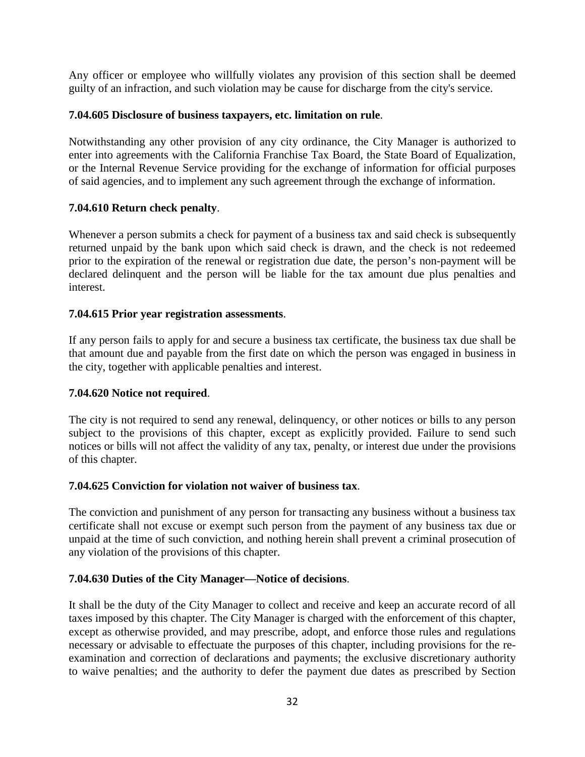Any officer or employee who willfully violates any provision of this section shall be deemed guilty of an infraction, and such violation may be cause for discharge from the city's service.

### **7.04.605 Disclosure of business taxpayers, etc. limitation on rule**.

Notwithstanding any other provision of any city ordinance, the City Manager is authorized to enter into agreements with the California Franchise Tax Board, the State Board of Equalization, or the Internal Revenue Service providing for the exchange of information for official purposes of said agencies, and to implement any such agreement through the exchange of information.

### **7.04.610 Return check penalty**.

Whenever a person submits a check for payment of a business tax and said check is subsequently returned unpaid by the bank upon which said check is drawn, and the check is not redeemed prior to the expiration of the renewal or registration due date, the person's non-payment will be declared delinquent and the person will be liable for the tax amount due plus penalties and interest.

### **7.04.615 Prior year registration assessments**.

If any person fails to apply for and secure a business tax certificate, the business tax due shall be that amount due and payable from the first date on which the person was engaged in business in the city, together with applicable penalties and interest.

### **7.04.620 Notice not required**.

The city is not required to send any renewal, delinquency, or other notices or bills to any person subject to the provisions of this chapter, except as explicitly provided. Failure to send such notices or bills will not affect the validity of any tax, penalty, or interest due under the provisions of this chapter.

### **7.04.625 Conviction for violation not waiver of business tax**.

The conviction and punishment of any person for transacting any business without a business tax certificate shall not excuse or exempt such person from the payment of any business tax due or unpaid at the time of such conviction, and nothing herein shall prevent a criminal prosecution of any violation of the provisions of this chapter.

# **7.04.630 Duties of the City Manager—Notice of decisions**.

It shall be the duty of the City Manager to collect and receive and keep an accurate record of all taxes imposed by this chapter. The City Manager is charged with the enforcement of this chapter, except as otherwise provided, and may prescribe, adopt, and enforce those rules and regulations necessary or advisable to effectuate the purposes of this chapter, including provisions for the reexamination and correction of declarations and payments; the exclusive discretionary authority to waive penalties; and the authority to defer the payment due dates as prescribed by Section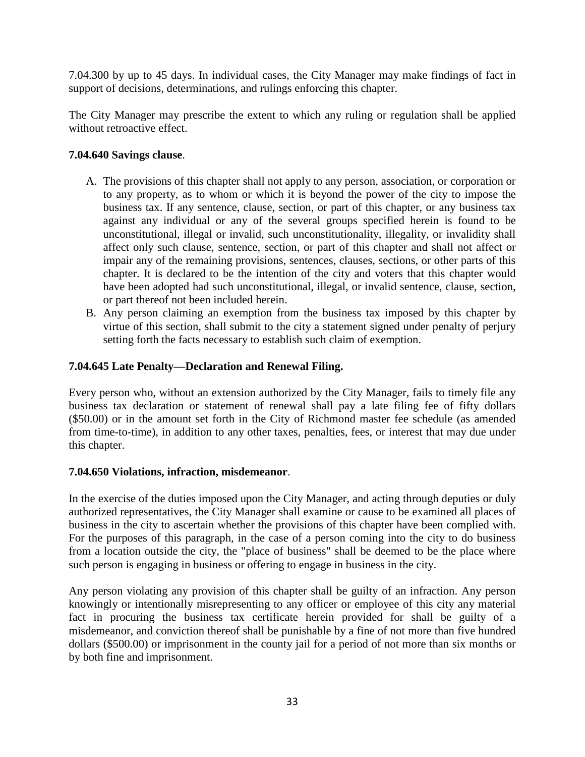7.04.300 by up to 45 days. In individual cases, the City Manager may make findings of fact in support of decisions, determinations, and rulings enforcing this chapter.

The City Manager may prescribe the extent to which any ruling or regulation shall be applied without retroactive effect.

### **7.04.640 Savings clause**.

- A. The provisions of this chapter shall not apply to any person, association, or corporation or to any property, as to whom or which it is beyond the power of the city to impose the business tax. If any sentence, clause, section, or part of this chapter, or any business tax against any individual or any of the several groups specified herein is found to be unconstitutional, illegal or invalid, such unconstitutionality, illegality, or invalidity shall affect only such clause, sentence, section, or part of this chapter and shall not affect or impair any of the remaining provisions, sentences, clauses, sections, or other parts of this chapter. It is declared to be the intention of the city and voters that this chapter would have been adopted had such unconstitutional, illegal, or invalid sentence, clause, section, or part thereof not been included herein.
- B. Any person claiming an exemption from the business tax imposed by this chapter by virtue of this section, shall submit to the city a statement signed under penalty of perjury setting forth the facts necessary to establish such claim of exemption.

### **7.04.645 Late Penalty—Declaration and Renewal Filing.**

Every person who, without an extension authorized by the City Manager, fails to timely file any business tax declaration or statement of renewal shall pay a late filing fee of fifty dollars (\$50.00) or in the amount set forth in the City of Richmond master fee schedule (as amended from time-to-time), in addition to any other taxes, penalties, fees, or interest that may due under this chapter.

### **7.04.650 Violations, infraction, misdemeanor**.

In the exercise of the duties imposed upon the City Manager, and acting through deputies or duly authorized representatives, the City Manager shall examine or cause to be examined all places of business in the city to ascertain whether the provisions of this chapter have been complied with. For the purposes of this paragraph, in the case of a person coming into the city to do business from a location outside the city, the "place of business" shall be deemed to be the place where such person is engaging in business or offering to engage in business in the city.

Any person violating any provision of this chapter shall be guilty of an infraction. Any person knowingly or intentionally misrepresenting to any officer or employee of this city any material fact in procuring the business tax certificate herein provided for shall be guilty of a misdemeanor, and conviction thereof shall be punishable by a fine of not more than five hundred dollars (\$500.00) or imprisonment in the county jail for a period of not more than six months or by both fine and imprisonment.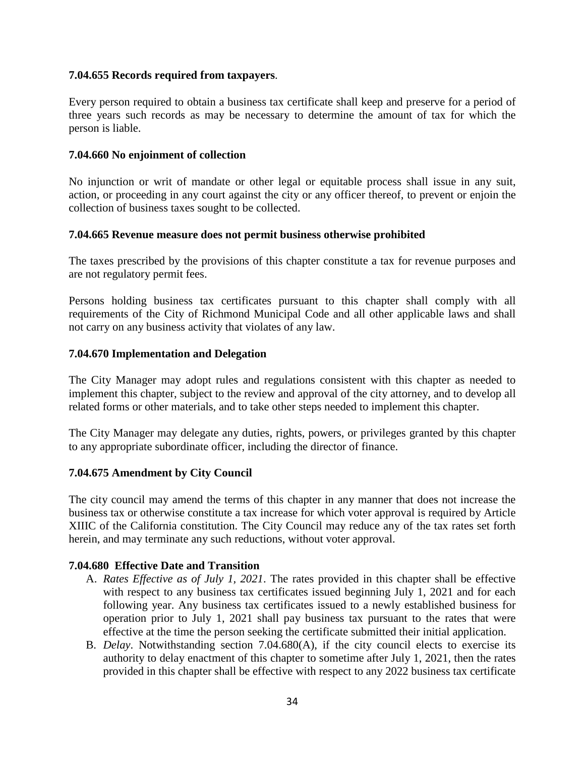### **7.04.655 Records required from taxpayers**.

Every person required to obtain a business tax certificate shall keep and preserve for a period of three years such records as may be necessary to determine the amount of tax for which the person is liable.

#### **7.04.660 No enjoinment of collection**

No injunction or writ of mandate or other legal or equitable process shall issue in any suit, action, or proceeding in any court against the city or any officer thereof, to prevent or enjoin the collection of business taxes sought to be collected.

#### **7.04.665 Revenue measure does not permit business otherwise prohibited**

The taxes prescribed by the provisions of this chapter constitute a tax for revenue purposes and are not regulatory permit fees.

Persons holding business tax certificates pursuant to this chapter shall comply with all requirements of the City of Richmond Municipal Code and all other applicable laws and shall not carry on any business activity that violates of any law.

#### **7.04.670 Implementation and Delegation**

The City Manager may adopt rules and regulations consistent with this chapter as needed to implement this chapter, subject to the review and approval of the city attorney, and to develop all related forms or other materials, and to take other steps needed to implement this chapter.

The City Manager may delegate any duties, rights, powers, or privileges granted by this chapter to any appropriate subordinate officer, including the director of finance.

### **7.04.675 Amendment by City Council**

The city council may amend the terms of this chapter in any manner that does not increase the business tax or otherwise constitute a tax increase for which voter approval is required by Article XIIIC of the California constitution. The City Council may reduce any of the tax rates set forth herein, and may terminate any such reductions, without voter approval.

#### **7.04.680 Effective Date and Transition**

- A. *Rates Effective as of July 1, 2021*. The rates provided in this chapter shall be effective with respect to any business tax certificates issued beginning July 1, 2021 and for each following year. Any business tax certificates issued to a newly established business for operation prior to July 1, 2021 shall pay business tax pursuant to the rates that were effective at the time the person seeking the certificate submitted their initial application.
- B. *Delay*. Notwithstanding section 7.04.680(A), if the city council elects to exercise its authority to delay enactment of this chapter to sometime after July 1, 2021, then the rates provided in this chapter shall be effective with respect to any 2022 business tax certificate